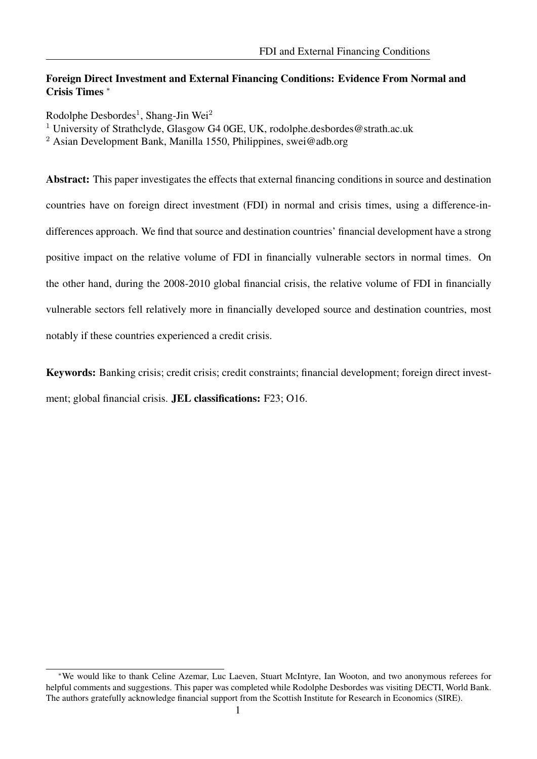#### Foreign Direct Investment and External Financing Conditions: Evidence From Normal and Crisis Times *<sup>∗</sup>*

Rodolphe Desbordes<sup>1</sup>, Shang-Jin Wei<sup>2</sup>

<sup>1</sup> University of Strathclyde, Glasgow G4 0GE, UK, rodolphe.desbordes@strath.ac.uk

<sup>2</sup> Asian Development Bank, Manilla 1550, Philippines, swei@adb.org

Abstract: This paper investigates the effects that external financing conditions in source and destination countries have on foreign direct investment (FDI) in normal and crisis times, using a difference-indifferences approach. We find that source and destination countries' financial development have a strong positive impact on the relative volume of FDI in financially vulnerable sectors in normal times. On the other hand, during the 2008-2010 global financial crisis, the relative volume of FDI in financially vulnerable sectors fell relatively more in financially developed source and destination countries, most notably if these countries experienced a credit crisis.

Keywords: Banking crisis; credit crisis; credit constraints; financial development; foreign direct investment; global financial crisis. JEL classifications: F23; O16.

*<sup>∗</sup>*We would like to thank Celine Azemar, Luc Laeven, Stuart McIntyre, Ian Wooton, and two anonymous referees for helpful comments and suggestions. This paper was completed while Rodolphe Desbordes was visiting DECTI, World Bank. The authors gratefully acknowledge financial support from the Scottish Institute for Research in Economics (SIRE).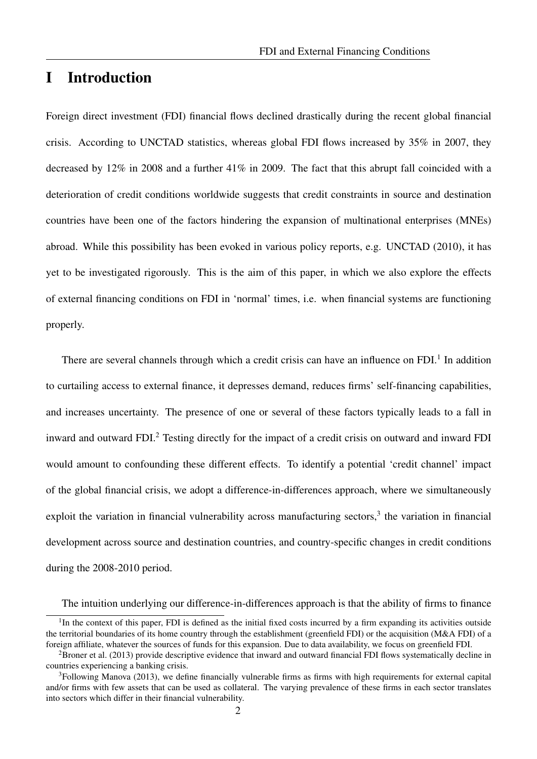## I Introduction

Foreign direct investment (FDI) financial flows declined drastically during the recent global financial crisis. According to UNCTAD statistics, whereas global FDI flows increased by 35% in 2007, they decreased by 12% in 2008 and a further 41% in 2009. The fact that this abrupt fall coincided with a deterioration of credit conditions worldwide suggests that credit constraints in source and destination countries have been one of the factors hindering the expansion of multinational enterprises (MNEs) abroad. While this possibility has been evoked in various policy reports, e.g. UNCTAD (2010), it has yet to be investigated rigorously. This is the aim of this paper, in which we also explore the effects of external financing conditions on FDI in 'normal' times, i.e. when financial systems are functioning properly.

There are several channels through which a credit crisis can have an influence on FDI.<sup>1</sup> In addition to curtailing access to external finance, it depresses demand, reduces firms' self-financing capabilities, and increases uncertainty. The presence of one or several of these factors typically leads to a fall in inward and outward FDI<sup>2</sup> Testing directly for the impact of a credit crisis on outward and inward FDI would amount to confounding these different effects. To identify a potential 'credit channel' impact of the global financial crisis, we adopt a difference-in-differences approach, where we simultaneously exploit the variation in financial vulnerability across manufacturing sectors, $3$  the variation in financial development across source and destination countries, and country-specific changes in credit conditions during the 2008-2010 period.

The intuition underlying our difference-in-differences approach is that the ability of firms to finance

<sup>&</sup>lt;sup>1</sup>In the context of this paper, FDI is defined as the initial fixed costs incurred by a firm expanding its activities outside the territorial boundaries of its home country through the establishment (greenfield FDI) or the acquisition (M&A FDI) of a foreign affiliate, whatever the sources of funds for this expansion. Due to data availability, we focus on greenfield FDI.

<sup>&</sup>lt;sup>2</sup>Broner et al. (2013) provide descriptive evidence that inward and outward financial FDI flows systematically decline in countries experiencing a banking crisis.

<sup>3</sup>Following Manova (2013), we define financially vulnerable firms as firms with high requirements for external capital and/or firms with few assets that can be used as collateral. The varying prevalence of these firms in each sector translates into sectors which differ in their financial vulnerability.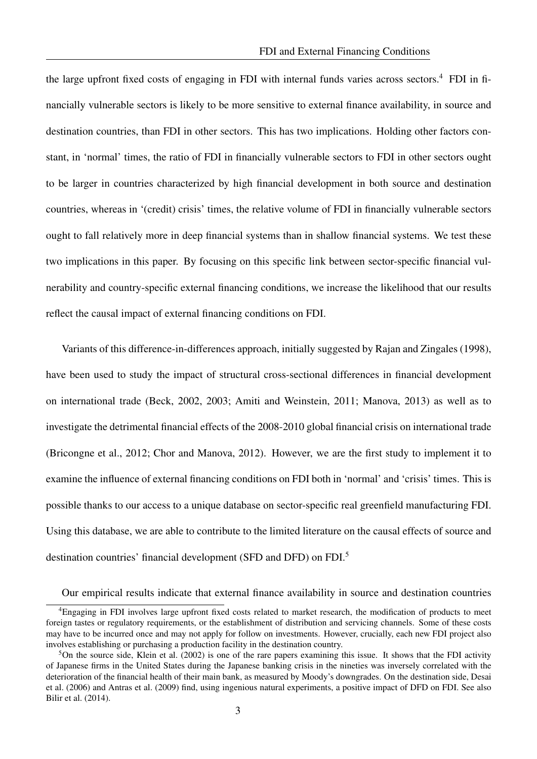the large upfront fixed costs of engaging in FDI with internal funds varies across sectors.<sup>4</sup> FDI in financially vulnerable sectors is likely to be more sensitive to external finance availability, in source and destination countries, than FDI in other sectors. This has two implications. Holding other factors constant, in 'normal' times, the ratio of FDI in financially vulnerable sectors to FDI in other sectors ought to be larger in countries characterized by high financial development in both source and destination countries, whereas in '(credit) crisis' times, the relative volume of FDI in financially vulnerable sectors ought to fall relatively more in deep financial systems than in shallow financial systems. We test these two implications in this paper. By focusing on this specific link between sector-specific financial vulnerability and country-specific external financing conditions, we increase the likelihood that our results reflect the causal impact of external financing conditions on FDI.

Variants of this difference-in-differences approach, initially suggested by Rajan and Zingales (1998), have been used to study the impact of structural cross-sectional differences in financial development on international trade (Beck, 2002, 2003; Amiti and Weinstein, 2011; Manova, 2013) as well as to investigate the detrimental financial effects of the 2008-2010 global financial crisis on international trade (Bricongne et al., 2012; Chor and Manova, 2012). However, we are the first study to implement it to examine the influence of external financing conditions on FDI both in 'normal' and 'crisis' times. This is possible thanks to our access to a unique database on sector-specific real greenfield manufacturing FDI. Using this database, we are able to contribute to the limited literature on the causal effects of source and destination countries' financial development (SFD and DFD) on FDI.<sup>5</sup>

Our empirical results indicate that external finance availability in source and destination countries

<sup>4</sup>Engaging in FDI involves large upfront fixed costs related to market research, the modification of products to meet foreign tastes or regulatory requirements, or the establishment of distribution and servicing channels. Some of these costs may have to be incurred once and may not apply for follow on investments. However, crucially, each new FDI project also involves establishing or purchasing a production facility in the destination country.

<sup>&</sup>lt;sup>5</sup>On the source side, Klein et al. (2002) is one of the rare papers examining this issue. It shows that the FDI activity of Japanese firms in the United States during the Japanese banking crisis in the nineties was inversely correlated with the deterioration of the financial health of their main bank, as measured by Moody's downgrades. On the destination side, Desai et al. (2006) and Antras et al. (2009) find, using ingenious natural experiments, a positive impact of DFD on FDI. See also Bilir et al. (2014).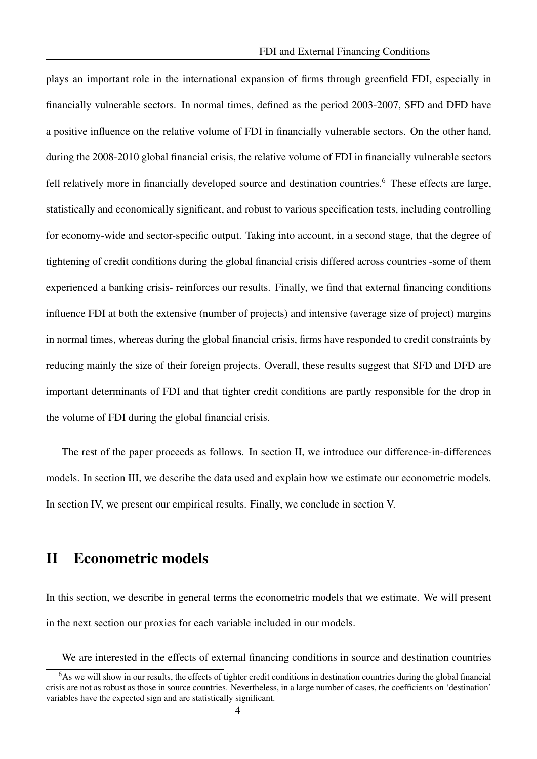plays an important role in the international expansion of firms through greenfield FDI, especially in financially vulnerable sectors. In normal times, defined as the period 2003-2007, SFD and DFD have a positive influence on the relative volume of FDI in financially vulnerable sectors. On the other hand, during the 2008-2010 global financial crisis, the relative volume of FDI in financially vulnerable sectors fell relatively more in financially developed source and destination countries.<sup>6</sup> These effects are large, statistically and economically significant, and robust to various specification tests, including controlling for economy-wide and sector-specific output. Taking into account, in a second stage, that the degree of tightening of credit conditions during the global financial crisis differed across countries -some of them experienced a banking crisis- reinforces our results. Finally, we find that external financing conditions influence FDI at both the extensive (number of projects) and intensive (average size of project) margins in normal times, whereas during the global financial crisis, firms have responded to credit constraints by reducing mainly the size of their foreign projects. Overall, these results suggest that SFD and DFD are important determinants of FDI and that tighter credit conditions are partly responsible for the drop in the volume of FDI during the global financial crisis.

The rest of the paper proceeds as follows. In section II, we introduce our difference-in-differences models. In section III, we describe the data used and explain how we estimate our econometric models. In section IV, we present our empirical results. Finally, we conclude in section V.

## II Econometric models

In this section, we describe in general terms the econometric models that we estimate. We will present in the next section our proxies for each variable included in our models.

We are interested in the effects of external financing conditions in source and destination countries

<sup>&</sup>lt;sup>6</sup>As we will show in our results, the effects of tighter credit conditions in destination countries during the global financial crisis are not as robust as those in source countries. Nevertheless, in a large number of cases, the coefficients on 'destination' variables have the expected sign and are statistically significant.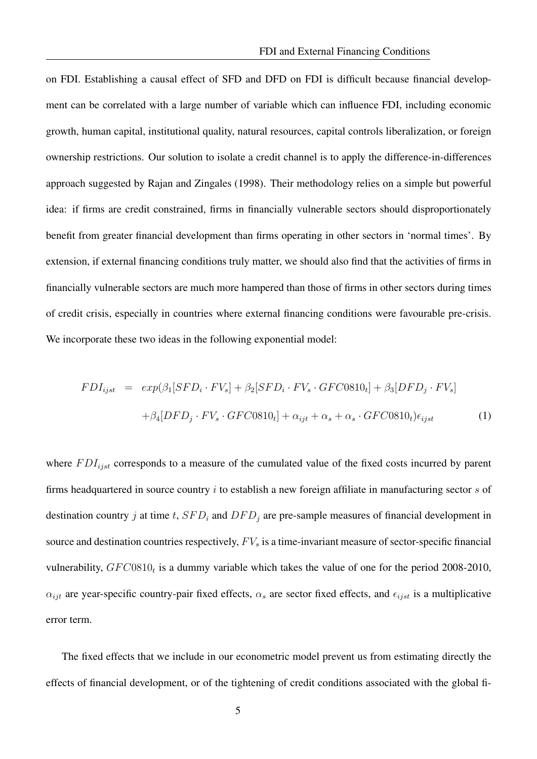on FDI. Establishing a causal effect of SFD and DFD on FDI is difficult because financial development can be correlated with a large number of variable which can influence FDI, including economic growth, human capital, institutional quality, natural resources, capital controls liberalization, or foreign ownership restrictions. Our solution to isolate a credit channel is to apply the difference-in-differences approach suggested by Rajan and Zingales (1998). Their methodology relies on a simple but powerful idea: if firms are credit constrained, firms in financially vulnerable sectors should disproportionately benefit from greater financial development than firms operating in other sectors in 'normal times'. By extension, if external financing conditions truly matter, we should also find that the activities of firms in financially vulnerable sectors are much more hampered than those of firms in other sectors during times of credit crisis, especially in countries where external financing conditions were favourable pre-crisis. We incorporate these two ideas in the following exponential model:

$$
FDI_{ijst} = exp(\beta_1[SFD_i \cdot FV_s] + \beta_2[SFD_i \cdot FV_s \cdot GFC0810_t] + \beta_3[DFD_j \cdot FV_s] + \beta_4[DFD_j \cdot FV_s \cdot GFC0810_t] + \alpha_{ijt} + \alpha_s + \alpha_s \cdot GFC0810_t)\epsilon_{ijst}
$$
(1)

where *FDI*<sub>iist</sub> corresponds to a measure of the cumulated value of the fixed costs incurred by parent firms headquartered in source country *i* to establish a new foreign affiliate in manufacturing sector *s* of destination country *j* at time *t*, *SF D<sup>i</sup>* and *DF D<sup>j</sup>* are pre-sample measures of financial development in source and destination countries respectively, *F V<sup>s</sup>* is a time-invariant measure of sector-specific financial vulnerability,  $GFC 0810<sub>t</sub>$  is a dummy variable which takes the value of one for the period 2008-2010,  $\alpha_{ijt}$  are year-specific country-pair fixed effects,  $\alpha_s$  are sector fixed effects, and  $\epsilon_{ijst}$  is a multiplicative error term.

The fixed effects that we include in our econometric model prevent us from estimating directly the effects of financial development, or of the tightening of credit conditions associated with the global fi-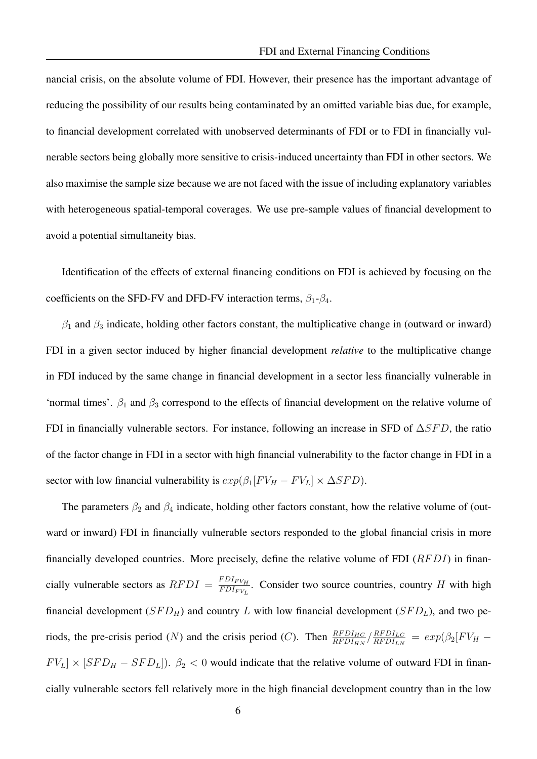nancial crisis, on the absolute volume of FDI. However, their presence has the important advantage of reducing the possibility of our results being contaminated by an omitted variable bias due, for example, to financial development correlated with unobserved determinants of FDI or to FDI in financially vulnerable sectors being globally more sensitive to crisis-induced uncertainty than FDI in other sectors. We also maximise the sample size because we are not faced with the issue of including explanatory variables with heterogeneous spatial-temporal coverages. We use pre-sample values of financial development to avoid a potential simultaneity bias.

Identification of the effects of external financing conditions on FDI is achieved by focusing on the coefficients on the SFD-FV and DFD-FV interaction terms,  $\beta_1$ - $\beta_4$ .

*β*<sup>1</sup> and *β*<sup>3</sup> indicate, holding other factors constant, the multiplicative change in (outward or inward) FDI in a given sector induced by higher financial development *relative* to the multiplicative change in FDI induced by the same change in financial development in a sector less financially vulnerable in 'normal times'. *β*<sup>1</sup> and *β*<sup>3</sup> correspond to the effects of financial development on the relative volume of FDI in financially vulnerable sectors. For instance, following an increase in SFD of ∆*SF D*, the ratio of the factor change in FDI in a sector with high financial vulnerability to the factor change in FDI in a sector with low financial vulnerability is  $exp(\beta_1[FV_H - FV_L] \times \Delta SFD)$ .

The parameters  $β_2$  and  $β_4$  indicate, holding other factors constant, how the relative volume of (outward or inward) FDI in financially vulnerable sectors responded to the global financial crisis in more financially developed countries. More precisely, define the relative volume of FDI (*RF DI*) in financially vulnerable sectors as  $RFDI = \frac{FDI_FV_H}{FDI_{TV}}$  $\frac{FDIFV_H}{FDIFV_L}$ . Consider two source countries, country *H* with high financial development  $(SFD_H)$  and country *L* with low financial development  $(SFD_L)$ , and two periods, the pre-crisis period (*N*) and the crisis period (*C*). Then  $\frac{RFDI_{HC}}{RFDI_{HN}}/\frac{RFDI_{LO}}{RFDI_{LN}}$  $\frac{RFDI_{LC}}{RFDI_{LN}}$  =  $exp(\beta_2[FV_H FV_L$   $\times$   $[SFD_H - SFD_L]$ ).  $\beta_2$   $<$  0 would indicate that the relative volume of outward FDI in financially vulnerable sectors fell relatively more in the high financial development country than in the low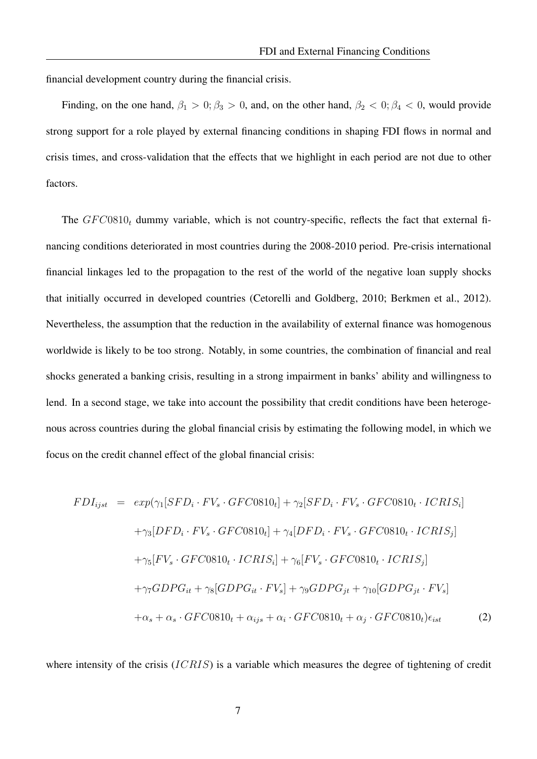financial development country during the financial crisis.

Finding, on the one hand,  $\beta_1 > 0$ ;  $\beta_3 > 0$ , and, on the other hand,  $\beta_2 < 0$ ;  $\beta_4 < 0$ , would provide strong support for a role played by external financing conditions in shaping FDI flows in normal and crisis times, and cross-validation that the effects that we highlight in each period are not due to other factors.

The  $GFC0810<sub>t</sub>$  dummy variable, which is not country-specific, reflects the fact that external financing conditions deteriorated in most countries during the 2008-2010 period. Pre-crisis international financial linkages led to the propagation to the rest of the world of the negative loan supply shocks that initially occurred in developed countries (Cetorelli and Goldberg, 2010; Berkmen et al., 2012). Nevertheless, the assumption that the reduction in the availability of external finance was homogenous worldwide is likely to be too strong. Notably, in some countries, the combination of financial and real shocks generated a banking crisis, resulting in a strong impairment in banks' ability and willingness to lend. In a second stage, we take into account the possibility that credit conditions have been heterogenous across countries during the global financial crisis by estimating the following model, in which we focus on the credit channel effect of the global financial crisis:

$$
FDI_{ijst} = exp(\gamma_1[SFD_i \cdot FV_s \cdot GFC0810_t] + \gamma_2[SFD_i \cdot FV_s \cdot GFC0810_t \cdot ICRIS_i]
$$

$$
+ \gamma_3[DFD_i \cdot FV_s \cdot GFC0810_t] + \gamma_4[DFD_i \cdot FV_s \cdot GFC0810_t \cdot ICRIS_j]
$$

$$
+ \gamma_5[FV_s \cdot GFC0810_t \cdot ICRIS_i] + \gamma_6[FV_s \cdot GFC0810_t \cdot ICRIS_j]
$$

$$
+ \gamma_7 GDPG_{it} + \gamma_8[GDPG_{it} \cdot FV_s] + \gamma_9 GDPG_{jt} + \gamma_{10}[GDPG_{jt} \cdot FV_s]
$$

$$
+ \alpha_s + \alpha_s \cdot GFC0810_t + \alpha_{ijs} + \alpha_i \cdot GFC0810_t + \alpha_j \cdot GFC0810_t) \epsilon_{ist}
$$
(2)

where intensity of the crisis (*ICRIS*) is a variable which measures the degree of tightening of credit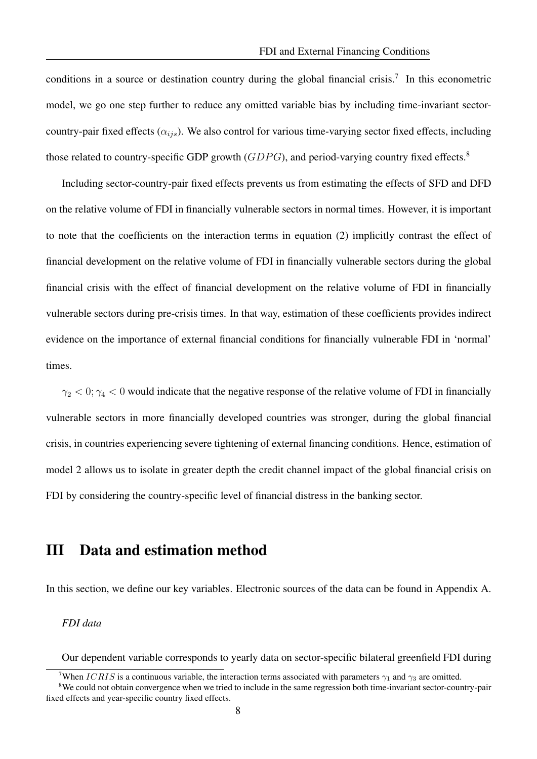conditions in a source or destination country during the global financial crisis.<sup>7</sup> In this econometric model, we go one step further to reduce any omitted variable bias by including time-invariant sectorcountry-pair fixed effects  $(\alpha_{ijs})$ . We also control for various time-varying sector fixed effects, including those related to country-specific GDP growth  $(GDPG)$ , and period-varying country fixed effects.<sup>8</sup>

Including sector-country-pair fixed effects prevents us from estimating the effects of SFD and DFD on the relative volume of FDI in financially vulnerable sectors in normal times. However, it is important to note that the coefficients on the interaction terms in equation (2) implicitly contrast the effect of financial development on the relative volume of FDI in financially vulnerable sectors during the global financial crisis with the effect of financial development on the relative volume of FDI in financially vulnerable sectors during pre-crisis times. In that way, estimation of these coefficients provides indirect evidence on the importance of external financial conditions for financially vulnerable FDI in 'normal' times.

 $\gamma_2$  < 0;  $\gamma_4$  < 0 would indicate that the negative response of the relative volume of FDI in financially vulnerable sectors in more financially developed countries was stronger, during the global financial crisis, in countries experiencing severe tightening of external financing conditions. Hence, estimation of model 2 allows us to isolate in greater depth the credit channel impact of the global financial crisis on FDI by considering the country-specific level of financial distress in the banking sector.

### III Data and estimation method

In this section, we define our key variables. Electronic sources of the data can be found in Appendix A.

#### *FDI data*

Our dependent variable corresponds to yearly data on sector-specific bilateral greenfield FDI during

<sup>&</sup>lt;sup>7</sup>When *ICRIS* is a continuous variable, the interaction terms associated with parameters  $\gamma_1$  and  $\gamma_3$  are omitted.

<sup>8</sup>We could not obtain convergence when we tried to include in the same regression both time-invariant sector-country-pair fixed effects and year-specific country fixed effects.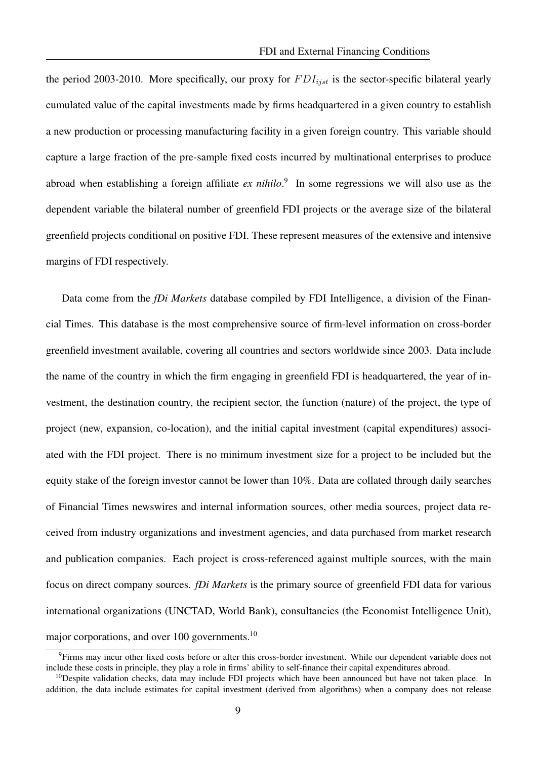the period 2003-2010. More specifically, our proxy for  $FDI_{i,jst}$  is the sector-specific bilateral yearly cumulated value of the capital investments made by firms headquartered in a given country to establish a new production or processing manufacturing facility in a given foreign country. This variable should capture a large fraction of the pre-sample fixed costs incurred by multinational enterprises to produce abroad when establishing a foreign affiliate *ex nihilo*. 9 In some regressions we will also use as the dependent variable the bilateral number of greenfield FDI projects or the average size of the bilateral greenfield projects conditional on positive FDI. These represent measures of the extensive and intensive margins of FDI respectively.

Data come from the *fDi Markets* database compiled by FDI Intelligence, a division of the Financial Times. This database is the most comprehensive source of firm-level information on cross-border greenfield investment available, covering all countries and sectors worldwide since 2003. Data include the name of the country in which the firm engaging in greenfield FDI is headquartered, the year of investment, the destination country, the recipient sector, the function (nature) of the project, the type of project (new, expansion, co-location), and the initial capital investment (capital expenditures) associated with the FDI project. There is no minimum investment size for a project to be included but the equity stake of the foreign investor cannot be lower than 10%. Data are collated through daily searches of Financial Times newswires and internal information sources, other media sources, project data received from industry organizations and investment agencies, and data purchased from market research and publication companies. Each project is cross-referenced against multiple sources, with the main focus on direct company sources. *fDi Markets* is the primary source of greenfield FDI data for various international organizations (UNCTAD, World Bank), consultancies (the Economist Intelligence Unit), major corporations, and over 100 governments. $10$ <sup>10</sup>

<sup>9</sup>Firms may incur other fixed costs before or after this cross-border investment. While our dependent variable does not include these costs in principle, they play a role in firms' ability to self-finance their capital expenditures abroad.

 $10$ Despite validation checks, data may include FDI projects which have been announced but have not taken place. In addition, the data include estimates for capital investment (derived from algorithms) when a company does not release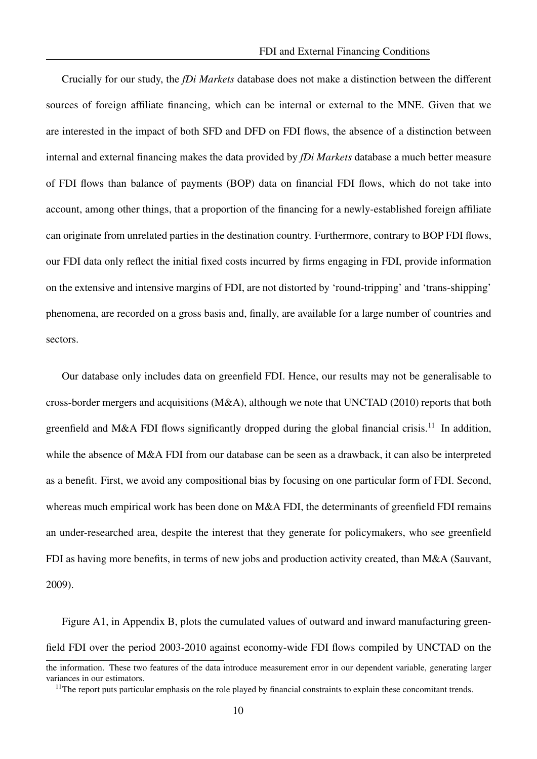Crucially for our study, the *fDi Markets* database does not make a distinction between the different sources of foreign affiliate financing, which can be internal or external to the MNE. Given that we are interested in the impact of both SFD and DFD on FDI flows, the absence of a distinction between internal and external financing makes the data provided by *fDi Markets* database a much better measure of FDI flows than balance of payments (BOP) data on financial FDI flows, which do not take into account, among other things, that a proportion of the financing for a newly-established foreign affiliate can originate from unrelated parties in the destination country. Furthermore, contrary to BOP FDI flows, our FDI data only reflect the initial fixed costs incurred by firms engaging in FDI, provide information on the extensive and intensive margins of FDI, are not distorted by 'round-tripping' and 'trans-shipping' phenomena, are recorded on a gross basis and, finally, are available for a large number of countries and sectors.

Our database only includes data on greenfield FDI. Hence, our results may not be generalisable to cross-border mergers and acquisitions (M&A), although we note that UNCTAD (2010) reports that both greenfield and M&A FDI flows significantly dropped during the global financial crisis.<sup>11</sup> In addition, while the absence of M&A FDI from our database can be seen as a drawback, it can also be interpreted as a benefit. First, we avoid any compositional bias by focusing on one particular form of FDI. Second, whereas much empirical work has been done on M&A FDI, the determinants of greenfield FDI remains an under-researched area, despite the interest that they generate for policymakers, who see greenfield FDI as having more benefits, in terms of new jobs and production activity created, than M&A (Sauvant, 2009).

Figure A1, in Appendix B, plots the cumulated values of outward and inward manufacturing greenfield FDI over the period 2003-2010 against economy-wide FDI flows compiled by UNCTAD on the

the information. These two features of the data introduce measurement error in our dependent variable, generating larger variances in our estimators.

<sup>&</sup>lt;sup>11</sup>The report puts particular emphasis on the role played by financial constraints to explain these concomitant trends.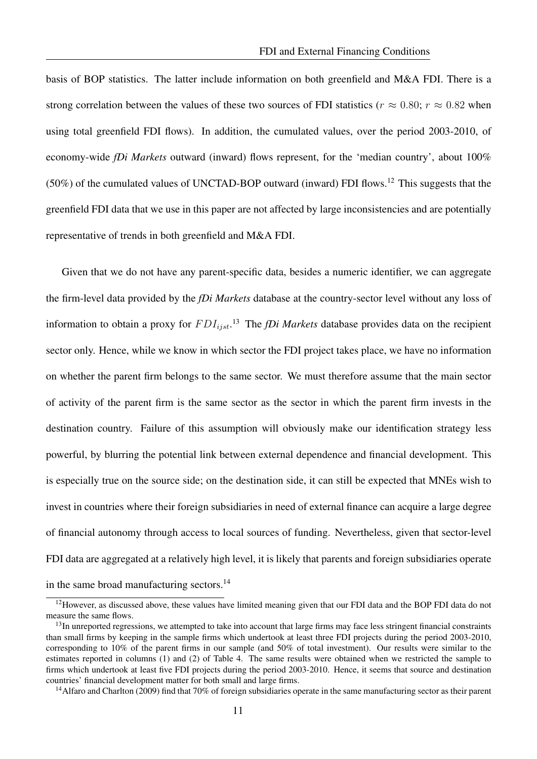basis of BOP statistics. The latter include information on both greenfield and M&A FDI. There is a strong correlation between the values of these two sources of FDI statistics ( $r \approx 0.80$ ;  $r \approx 0.82$  when using total greenfield FDI flows). In addition, the cumulated values, over the period 2003-2010, of economy-wide *fDi Markets* outward (inward) flows represent, for the 'median country', about 100%  $(50\%)$  of the cumulated values of UNCTAD-BOP outward (inward) FDI flows.<sup>12</sup> This suggests that the greenfield FDI data that we use in this paper are not affected by large inconsistencies and are potentially representative of trends in both greenfield and M&A FDI.

Given that we do not have any parent-specific data, besides a numeric identifier, we can aggregate the firm-level data provided by the *fDi Markets* database at the country-sector level without any loss of information to obtain a proxy for *F DIijst*. <sup>13</sup> The *fDi Markets* database provides data on the recipient sector only. Hence, while we know in which sector the FDI project takes place, we have no information on whether the parent firm belongs to the same sector. We must therefore assume that the main sector of activity of the parent firm is the same sector as the sector in which the parent firm invests in the destination country. Failure of this assumption will obviously make our identification strategy less powerful, by blurring the potential link between external dependence and financial development. This is especially true on the source side; on the destination side, it can still be expected that MNEs wish to invest in countries where their foreign subsidiaries in need of external finance can acquire a large degree of financial autonomy through access to local sources of funding. Nevertheless, given that sector-level FDI data are aggregated at a relatively high level, it is likely that parents and foreign subsidiaries operate in the same broad manufacturing sectors.<sup>14</sup>

<sup>&</sup>lt;sup>12</sup>However, as discussed above, these values have limited meaning given that our FDI data and the BOP FDI data do not measure the same flows.

<sup>&</sup>lt;sup>13</sup>In unreported regressions, we attempted to take into account that large firms may face less stringent financial constraints than small firms by keeping in the sample firms which undertook at least three FDI projects during the period 2003-2010, corresponding to 10% of the parent firms in our sample (and 50% of total investment). Our results were similar to the estimates reported in columns (1) and (2) of Table 4. The same results were obtained when we restricted the sample to firms which undertook at least five FDI projects during the period 2003-2010. Hence, it seems that source and destination countries' financial development matter for both small and large firms.

<sup>&</sup>lt;sup>14</sup>Alfaro and Charlton (2009) find that 70% of foreign subsidiaries operate in the same manufacturing sector as their parent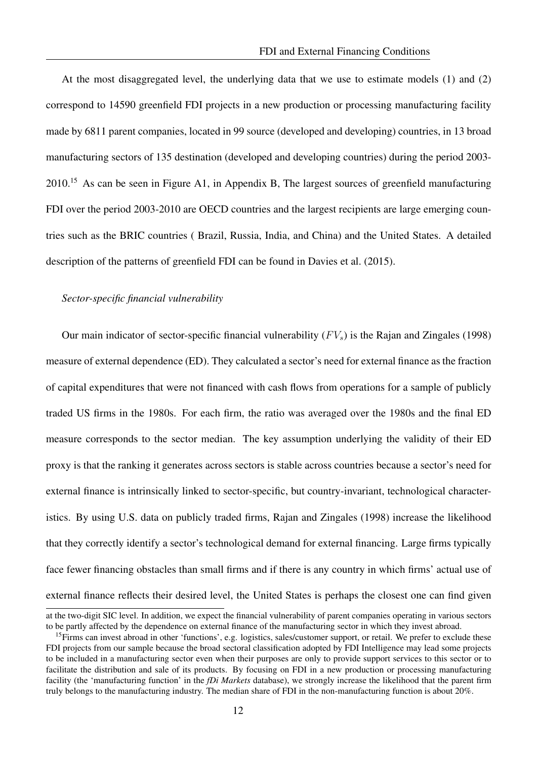At the most disaggregated level, the underlying data that we use to estimate models (1) and (2) correspond to 14590 greenfield FDI projects in a new production or processing manufacturing facility made by 6811 parent companies, located in 99 source (developed and developing) countries, in 13 broad manufacturing sectors of 135 destination (developed and developing countries) during the period 2003- 2010.<sup>15</sup> As can be seen in Figure A1, in Appendix B, The largest sources of greenfield manufacturing FDI over the period 2003-2010 are OECD countries and the largest recipients are large emerging countries such as the BRIC countries ( Brazil, Russia, India, and China) and the United States. A detailed description of the patterns of greenfield FDI can be found in Davies et al. (2015).

#### *Sector-specific financial vulnerability*

Our main indicator of sector-specific financial vulnerability (*F Vs*) is the Rajan and Zingales (1998) measure of external dependence (ED). They calculated a sector's need for external finance as the fraction of capital expenditures that were not financed with cash flows from operations for a sample of publicly traded US firms in the 1980s. For each firm, the ratio was averaged over the 1980s and the final ED measure corresponds to the sector median. The key assumption underlying the validity of their ED proxy is that the ranking it generates across sectors is stable across countries because a sector's need for external finance is intrinsically linked to sector-specific, but country-invariant, technological characteristics. By using U.S. data on publicly traded firms, Rajan and Zingales (1998) increase the likelihood that they correctly identify a sector's technological demand for external financing. Large firms typically face fewer financing obstacles than small firms and if there is any country in which firms' actual use of external finance reflects their desired level, the United States is perhaps the closest one can find given

at the two-digit SIC level. In addition, we expect the financial vulnerability of parent companies operating in various sectors to be partly affected by the dependence on external finance of the manufacturing sector in which they invest abroad.

<sup>&</sup>lt;sup>15</sup>Firms can invest abroad in other 'functions', e.g. logistics, sales/customer support, or retail. We prefer to exclude these FDI projects from our sample because the broad sectoral classification adopted by FDI Intelligence may lead some projects to be included in a manufacturing sector even when their purposes are only to provide support services to this sector or to facilitate the distribution and sale of its products. By focusing on FDI in a new production or processing manufacturing facility (the 'manufacturing function' in the *fDi Markets* database), we strongly increase the likelihood that the parent firm truly belongs to the manufacturing industry. The median share of FDI in the non-manufacturing function is about 20%.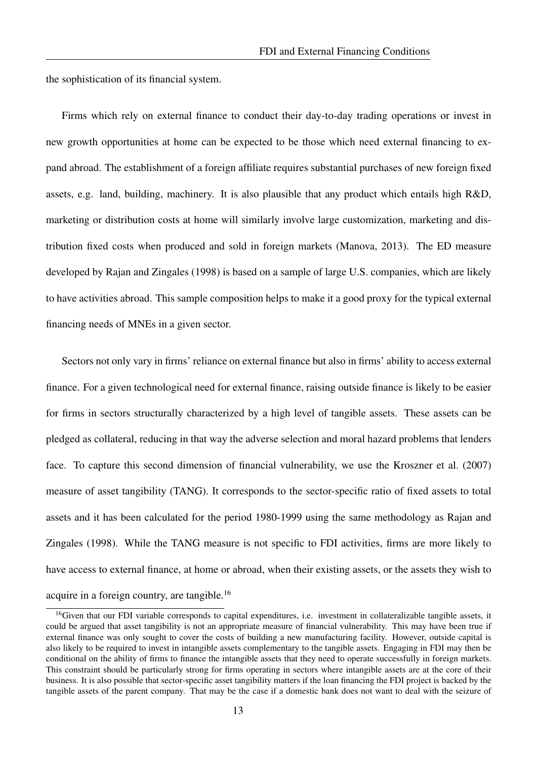the sophistication of its financial system.

Firms which rely on external finance to conduct their day-to-day trading operations or invest in new growth opportunities at home can be expected to be those which need external financing to expand abroad. The establishment of a foreign affiliate requires substantial purchases of new foreign fixed assets, e.g. land, building, machinery. It is also plausible that any product which entails high R&D, marketing or distribution costs at home will similarly involve large customization, marketing and distribution fixed costs when produced and sold in foreign markets (Manova, 2013). The ED measure developed by Rajan and Zingales (1998) is based on a sample of large U.S. companies, which are likely to have activities abroad. This sample composition helps to make it a good proxy for the typical external financing needs of MNEs in a given sector.

Sectors not only vary in firms' reliance on external finance but also in firms' ability to access external finance. For a given technological need for external finance, raising outside finance is likely to be easier for firms in sectors structurally characterized by a high level of tangible assets. These assets can be pledged as collateral, reducing in that way the adverse selection and moral hazard problems that lenders face. To capture this second dimension of financial vulnerability, we use the Kroszner et al. (2007) measure of asset tangibility (TANG). It corresponds to the sector-specific ratio of fixed assets to total assets and it has been calculated for the period 1980-1999 using the same methodology as Rajan and Zingales (1998). While the TANG measure is not specific to FDI activities, firms are more likely to have access to external finance, at home or abroad, when their existing assets, or the assets they wish to acquire in a foreign country, are tangible.<sup>16</sup>

 $16$  Given that our FDI variable corresponds to capital expenditures, i.e. investment in collateralizable tangible assets, it could be argued that asset tangibility is not an appropriate measure of financial vulnerability. This may have been true if external finance was only sought to cover the costs of building a new manufacturing facility. However, outside capital is also likely to be required to invest in intangible assets complementary to the tangible assets. Engaging in FDI may then be conditional on the ability of firms to finance the intangible assets that they need to operate successfully in foreign markets. This constraint should be particularly strong for firms operating in sectors where intangible assets are at the core of their business. It is also possible that sector-specific asset tangibility matters if the loan financing the FDI project is backed by the tangible assets of the parent company. That may be the case if a domestic bank does not want to deal with the seizure of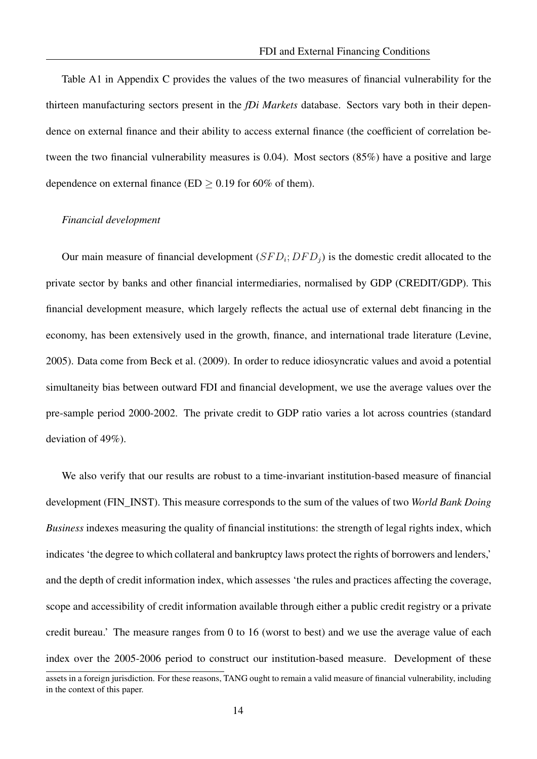Table A1 in Appendix C provides the values of the two measures of financial vulnerability for the thirteen manufacturing sectors present in the *fDi Markets* database. Sectors vary both in their dependence on external finance and their ability to access external finance (the coefficient of correlation between the two financial vulnerability measures is 0.04). Most sectors (85%) have a positive and large dependence on external finance (ED *≥* 0.19 for 60% of them).

#### *Financial development*

Our main measure of financial development (*SF D<sup>i</sup>* ; *DF D<sup>j</sup>* ) is the domestic credit allocated to the private sector by banks and other financial intermediaries, normalised by GDP (CREDIT/GDP). This financial development measure, which largely reflects the actual use of external debt financing in the economy, has been extensively used in the growth, finance, and international trade literature (Levine, 2005). Data come from Beck et al. (2009). In order to reduce idiosyncratic values and avoid a potential simultaneity bias between outward FDI and financial development, we use the average values over the pre-sample period 2000-2002. The private credit to GDP ratio varies a lot across countries (standard deviation of 49%).

We also verify that our results are robust to a time-invariant institution-based measure of financial development (FIN\_INST). This measure corresponds to the sum of the values of two *World Bank Doing Business* indexes measuring the quality of financial institutions: the strength of legal rights index, which indicates 'the degree to which collateral and bankruptcy laws protect the rights of borrowers and lenders,' and the depth of credit information index, which assesses 'the rules and practices affecting the coverage, scope and accessibility of credit information available through either a public credit registry or a private credit bureau.' The measure ranges from 0 to 16 (worst to best) and we use the average value of each index over the 2005-2006 period to construct our institution-based measure. Development of these

assets in a foreign jurisdiction. For these reasons, TANG ought to remain a valid measure of financial vulnerability, including in the context of this paper.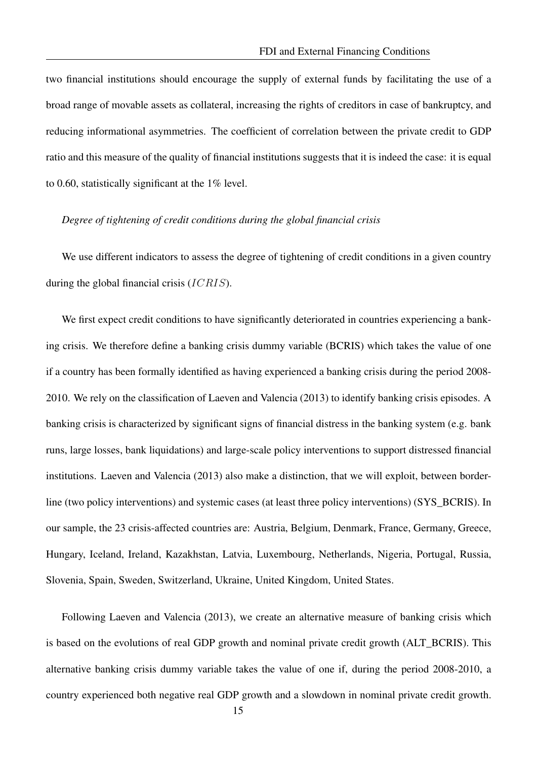two financial institutions should encourage the supply of external funds by facilitating the use of a broad range of movable assets as collateral, increasing the rights of creditors in case of bankruptcy, and reducing informational asymmetries. The coefficient of correlation between the private credit to GDP ratio and this measure of the quality of financial institutions suggests that it is indeed the case: it is equal to 0.60, statistically significant at the 1% level.

#### *Degree of tightening of credit conditions during the global financial crisis*

We use different indicators to assess the degree of tightening of credit conditions in a given country during the global financial crisis (*ICRIS*).

We first expect credit conditions to have significantly deteriorated in countries experiencing a banking crisis. We therefore define a banking crisis dummy variable (BCRIS) which takes the value of one if a country has been formally identified as having experienced a banking crisis during the period 2008- 2010. We rely on the classification of Laeven and Valencia (2013) to identify banking crisis episodes. A banking crisis is characterized by significant signs of financial distress in the banking system (e.g. bank runs, large losses, bank liquidations) and large-scale policy interventions to support distressed financial institutions. Laeven and Valencia (2013) also make a distinction, that we will exploit, between borderline (two policy interventions) and systemic cases (at least three policy interventions) (SYS\_BCRIS). In our sample, the 23 crisis-affected countries are: Austria, Belgium, Denmark, France, Germany, Greece, Hungary, Iceland, Ireland, Kazakhstan, Latvia, Luxembourg, Netherlands, Nigeria, Portugal, Russia, Slovenia, Spain, Sweden, Switzerland, Ukraine, United Kingdom, United States.

Following Laeven and Valencia (2013), we create an alternative measure of banking crisis which is based on the evolutions of real GDP growth and nominal private credit growth (ALT\_BCRIS). This alternative banking crisis dummy variable takes the value of one if, during the period 2008-2010, a country experienced both negative real GDP growth and a slowdown in nominal private credit growth.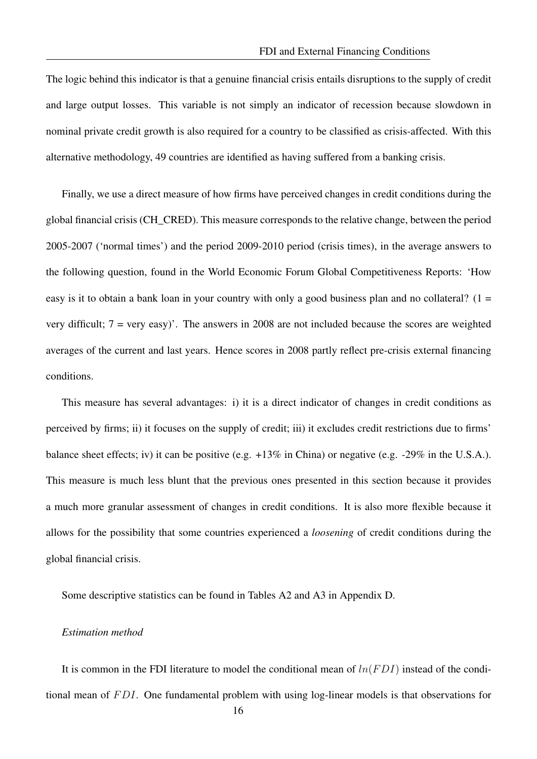The logic behind this indicator is that a genuine financial crisis entails disruptions to the supply of credit and large output losses. This variable is not simply an indicator of recession because slowdown in nominal private credit growth is also required for a country to be classified as crisis-affected. With this alternative methodology, 49 countries are identified as having suffered from a banking crisis.

Finally, we use a direct measure of how firms have perceived changes in credit conditions during the global financial crisis (CH\_CRED). This measure corresponds to the relative change, between the period 2005-2007 ('normal times') and the period 2009-2010 period (crisis times), in the average answers to the following question, found in the World Economic Forum Global Competitiveness Reports: 'How easy is it to obtain a bank loan in your country with only a good business plan and no collateral?  $(1 =$ very difficult;  $7 = \text{very easy}$ . The answers in 2008 are not included because the scores are weighted averages of the current and last years. Hence scores in 2008 partly reflect pre-crisis external financing conditions.

This measure has several advantages: i) it is a direct indicator of changes in credit conditions as perceived by firms; ii) it focuses on the supply of credit; iii) it excludes credit restrictions due to firms' balance sheet effects; iv) it can be positive (e.g. +13% in China) or negative (e.g. -29% in the U.S.A.). This measure is much less blunt that the previous ones presented in this section because it provides a much more granular assessment of changes in credit conditions. It is also more flexible because it allows for the possibility that some countries experienced a *loosening* of credit conditions during the global financial crisis.

Some descriptive statistics can be found in Tables A2 and A3 in Appendix D.

#### *Estimation method*

It is common in the FDI literature to model the conditional mean of *ln*(*FDI*) instead of the conditional mean of *F DI*. One fundamental problem with using log-linear models is that observations for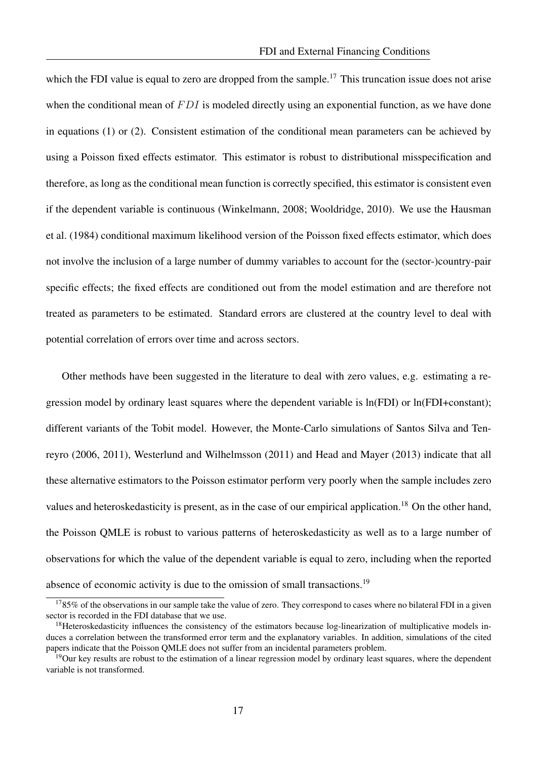which the FDI value is equal to zero are dropped from the sample.<sup>17</sup> This truncation issue does not arise when the conditional mean of *FDI* is modeled directly using an exponential function, as we have done in equations (1) or (2). Consistent estimation of the conditional mean parameters can be achieved by using a Poisson fixed effects estimator. This estimator is robust to distributional misspecification and therefore, as long as the conditional mean function is correctly specified, this estimator is consistent even if the dependent variable is continuous (Winkelmann, 2008; Wooldridge, 2010). We use the Hausman et al. (1984) conditional maximum likelihood version of the Poisson fixed effects estimator, which does not involve the inclusion of a large number of dummy variables to account for the (sector-)country-pair specific effects; the fixed effects are conditioned out from the model estimation and are therefore not treated as parameters to be estimated. Standard errors are clustered at the country level to deal with potential correlation of errors over time and across sectors.

Other methods have been suggested in the literature to deal with zero values, e.g. estimating a regression model by ordinary least squares where the dependent variable is ln(FDI) or ln(FDI+constant); different variants of the Tobit model. However, the Monte-Carlo simulations of Santos Silva and Tenreyro (2006, 2011), Westerlund and Wilhelmsson (2011) and Head and Mayer (2013) indicate that all these alternative estimators to the Poisson estimator perform very poorly when the sample includes zero values and heteroskedasticity is present, as in the case of our empirical application.<sup>18</sup> On the other hand, the Poisson QMLE is robust to various patterns of heteroskedasticity as well as to a large number of observations for which the value of the dependent variable is equal to zero, including when the reported absence of economic activity is due to the omission of small transactions.<sup>19</sup>

 $1785\%$  of the observations in our sample take the value of zero. They correspond to cases where no bilateral FDI in a given sector is recorded in the FDI database that we use.

 $18$ Heteroskedasticity influences the consistency of the estimators because log-linearization of multiplicative models induces a correlation between the transformed error term and the explanatory variables. In addition, simulations of the cited papers indicate that the Poisson QMLE does not suffer from an incidental parameters problem.

 $<sup>19</sup>$ Our key results are robust to the estimation of a linear regression model by ordinary least squares, where the dependent</sup> variable is not transformed.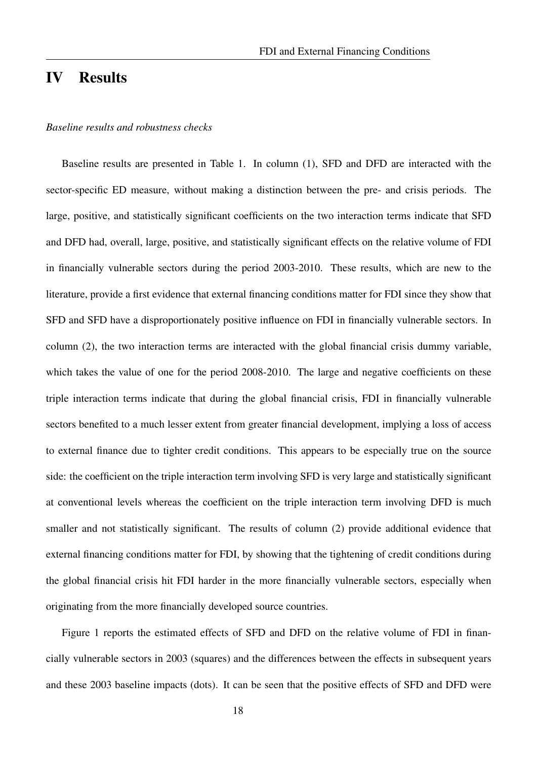## IV Results

#### *Baseline results and robustness checks*

Baseline results are presented in Table 1. In column (1), SFD and DFD are interacted with the sector-specific ED measure, without making a distinction between the pre- and crisis periods. The large, positive, and statistically significant coefficients on the two interaction terms indicate that SFD and DFD had, overall, large, positive, and statistically significant effects on the relative volume of FDI in financially vulnerable sectors during the period 2003-2010. These results, which are new to the literature, provide a first evidence that external financing conditions matter for FDI since they show that SFD and SFD have a disproportionately positive influence on FDI in financially vulnerable sectors. In column (2), the two interaction terms are interacted with the global financial crisis dummy variable, which takes the value of one for the period 2008-2010. The large and negative coefficients on these triple interaction terms indicate that during the global financial crisis, FDI in financially vulnerable sectors benefited to a much lesser extent from greater financial development, implying a loss of access to external finance due to tighter credit conditions. This appears to be especially true on the source side: the coefficient on the triple interaction term involving SFD is very large and statistically significant at conventional levels whereas the coefficient on the triple interaction term involving DFD is much smaller and not statistically significant. The results of column (2) provide additional evidence that external financing conditions matter for FDI, by showing that the tightening of credit conditions during the global financial crisis hit FDI harder in the more financially vulnerable sectors, especially when originating from the more financially developed source countries.

Figure 1 reports the estimated effects of SFD and DFD on the relative volume of FDI in financially vulnerable sectors in 2003 (squares) and the differences between the effects in subsequent years and these 2003 baseline impacts (dots). It can be seen that the positive effects of SFD and DFD were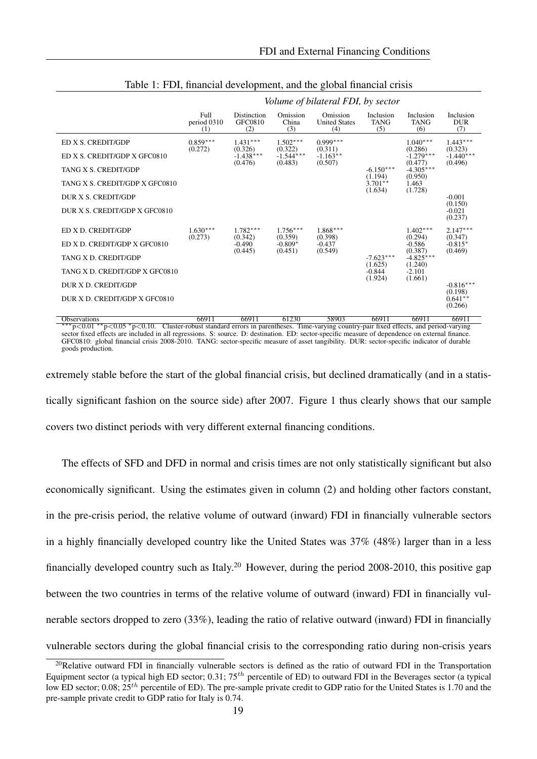|                                | Volume of bilateral FDI, by sector |                                   |                                   |                                         |                                                |                                                       |                                   |  |
|--------------------------------|------------------------------------|-----------------------------------|-----------------------------------|-----------------------------------------|------------------------------------------------|-------------------------------------------------------|-----------------------------------|--|
|                                | Full<br>period 0310<br>(1)         | Distinction<br>GFC0810<br>(2)     | Omission<br>China<br>(3)          | Omission<br><b>United States</b><br>(4) | Inclusion<br><b>TANG</b><br>(5)                | Inclusion<br><b>TANG</b><br>(6)                       | Inclusion<br><b>DUR</b><br>(7)    |  |
| ED X S. CREDIT/GDP             | $0.859***$                         | $1.431***$                        | $1.502***$                        | $0.999***$                              |                                                | $1.040***$                                            | $1.443***$                        |  |
| ED X S. CREDIT/GDP X GFC0810   | (0.272)                            | (0.326)<br>$-1.438***$<br>(0.476) | (0.322)<br>$-1.544***$<br>(0.483) | (0.311)<br>$-1.163**$                   |                                                | (0.286)<br>$-1.279$ ***                               | (0.323)<br>$-1.440***$<br>(0.496) |  |
| <b>TANG X S. CREDIT/GDP</b>    |                                    |                                   |                                   | (0.507)                                 | $-6.150***$<br>(1.194)<br>$3.701**$<br>(1.634) | (0.477)<br>$-4.305***$<br>(0.950)<br>1.463<br>(1.728) |                                   |  |
| TANG X S. CREDIT/GDP X GFC0810 |                                    |                                   |                                   |                                         |                                                |                                                       |                                   |  |
| DUR X S. CREDIT/GDP            |                                    |                                   |                                   |                                         |                                                |                                                       | $-0.001$<br>(0.150)               |  |
| DUR X S. CREDIT/GDP X GFC0810  |                                    |                                   |                                   |                                         |                                                |                                                       | $-0.021$<br>(0.237)               |  |
| ED X D. CREDIT/GDP             | $1.630***$                         | $1.782***$                        | $1.756***$                        | $1.868***$                              |                                                | $1.402***$                                            | $2.147***$                        |  |
| ED X D. CREDIT/GDP X GFC0810   | (0.273)                            | (0.342)<br>$-0.490$               | (0.359)<br>$-0.809*$              | (0.398)<br>$-0.437$                     |                                                | (0.294)<br>$-0.586$                                   | (0.347)<br>$-0.815*$              |  |
| <b>TANG X D. CREDIT/GDP</b>    |                                    | (0.445)                           | (0.451)                           | (0.549)                                 | $-7.623***$                                    | (0.387)<br>$-4.825***$                                | (0.469)                           |  |
| TANG X D. CREDIT/GDP X GFC0810 |                                    |                                   |                                   |                                         | (1.625)<br>$-0.844$<br>(1.924)                 | (1.240)<br>$-2.101$<br>(1.661)                        |                                   |  |
| DUR X D. CREDIT/GDP            |                                    |                                   |                                   |                                         |                                                |                                                       | $-0.816***$                       |  |
| DUR X D. CREDIT/GDP X GFC0810  |                                    |                                   |                                   |                                         |                                                |                                                       | (0.198)<br>$0.641**$<br>(0.266)   |  |
| Observations                   | 66911                              | 66911                             | 61230                             | 58903                                   | 66911                                          | 66911                                                 | 66911                             |  |

#### Table 1: FDI, financial development, and the global financial crisis

Observations 66911 66911 66911 61230 58903 66911 66911 66911<br>\*\*\*p<0.01 \*\*p<0.05 \*p<0.10. Cluster-robust standard errors in parentheses. Time-varying country-pair fixed effects, and period-varying sector fixed effects are included in all regressions. S: source. D: destination. ED: sector-specific measure of dependence on external finance. GFC0810: global financial crisis 2008-2010. TANG: sector-specific measure of asset tangibility. DUR: sector-specific indicator of durable goods production.

extremely stable before the start of the global financial crisis, but declined dramatically (and in a statistically significant fashion on the source side) after 2007. Figure 1 thus clearly shows that our sample covers two distinct periods with very different external financing conditions.

The effects of SFD and DFD in normal and crisis times are not only statistically significant but also economically significant. Using the estimates given in column (2) and holding other factors constant, in the pre-crisis period, the relative volume of outward (inward) FDI in financially vulnerable sectors in a highly financially developed country like the United States was 37% (48%) larger than in a less financially developed country such as Italy.<sup>20</sup> However, during the period 2008-2010, this positive gap between the two countries in terms of the relative volume of outward (inward) FDI in financially vulnerable sectors dropped to zero (33%), leading the ratio of relative outward (inward) FDI in financially vulnerable sectors during the global financial crisis to the corresponding ratio during non-crisis years

<sup>&</sup>lt;sup>20</sup>Relative outward FDI in financially vulnerable sectors is defined as the ratio of outward FDI in the Transportation Equipment sector (a typical high ED sector; 0.31; 75*th* percentile of ED) to outward FDI in the Beverages sector (a typical low ED sector; 0.08; 25<sup>th</sup> percentile of ED). The pre-sample private credit to GDP ratio for the United States is 1.70 and the pre-sample private credit to GDP ratio for Italy is 0.74.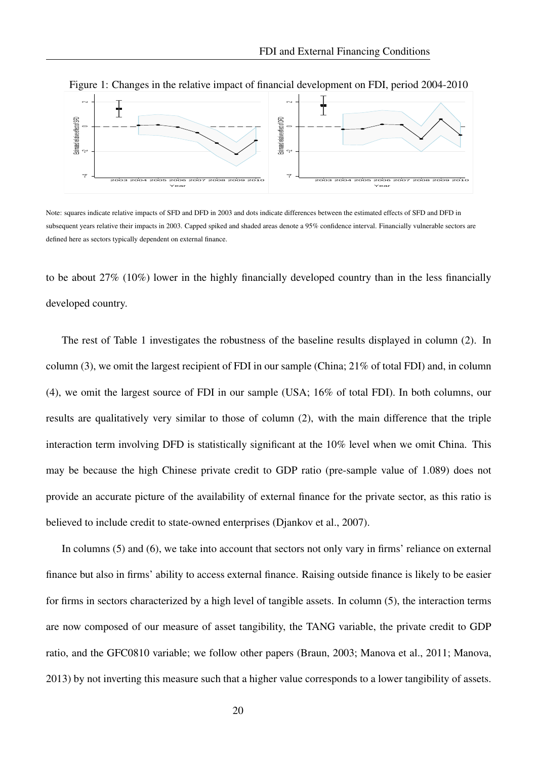

Figure 1: Changes in the relative impact of financial development on FDI, period 2004-2010

Note: squares indicate relative impacts of SFD and DFD in 2003 and dots indicate differences between the estimated effects of SFD and DFD in subsequent years relative their impacts in 2003. Capped spiked and shaded areas denote a 95% confidence interval. Financially vulnerable sectors are defined here as sectors typically dependent on external finance.

to be about 27% (10%) lower in the highly financially developed country than in the less financially developed country.

The rest of Table 1 investigates the robustness of the baseline results displayed in column (2). In column (3), we omit the largest recipient of FDI in our sample (China; 21% of total FDI) and, in column (4), we omit the largest source of FDI in our sample (USA; 16% of total FDI). In both columns, our results are qualitatively very similar to those of column (2), with the main difference that the triple interaction term involving DFD is statistically significant at the 10% level when we omit China. This may be because the high Chinese private credit to GDP ratio (pre-sample value of 1.089) does not provide an accurate picture of the availability of external finance for the private sector, as this ratio is believed to include credit to state-owned enterprises (Djankov et al., 2007).

In columns (5) and (6), we take into account that sectors not only vary in firms' reliance on external finance but also in firms' ability to access external finance. Raising outside finance is likely to be easier for firms in sectors characterized by a high level of tangible assets. In column (5), the interaction terms are now composed of our measure of asset tangibility, the TANG variable, the private credit to GDP ratio, and the GFC0810 variable; we follow other papers (Braun, 2003; Manova et al., 2011; Manova, 2013) by not inverting this measure such that a higher value corresponds to a lower tangibility of assets.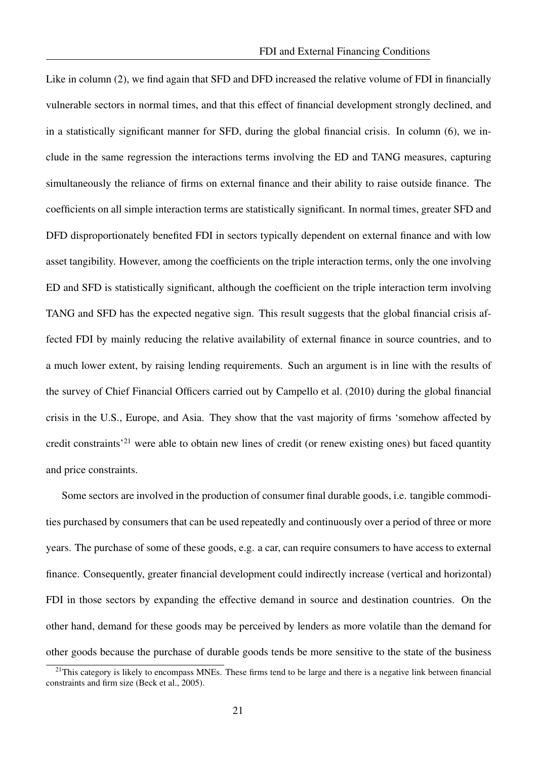Like in column (2), we find again that SFD and DFD increased the relative volume of FDI in financially vulnerable sectors in normal times, and that this effect of financial development strongly declined, and in a statistically significant manner for SFD, during the global financial crisis. In column (6), we include in the same regression the interactions terms involving the ED and TANG measures, capturing simultaneously the reliance of firms on external finance and their ability to raise outside finance. The coefficients on all simple interaction terms are statistically significant. In normal times, greater SFD and DFD disproportionately benefited FDI in sectors typically dependent on external finance and with low asset tangibility. However, among the coefficients on the triple interaction terms, only the one involving ED and SFD is statistically significant, although the coefficient on the triple interaction term involving TANG and SFD has the expected negative sign. This result suggests that the global financial crisis affected FDI by mainly reducing the relative availability of external finance in source countries, and to a much lower extent, by raising lending requirements. Such an argument is in line with the results of the survey of Chief Financial Officers carried out by Campello et al. (2010) during the global financial crisis in the U.S., Europe, and Asia. They show that the vast majority of firms 'somehow affected by credit constraints'<sup>21</sup> were able to obtain new lines of credit (or renew existing ones) but faced quantity and price constraints.

Some sectors are involved in the production of consumer final durable goods, i.e. tangible commodities purchased by consumers that can be used repeatedly and continuously over a period of three or more years. The purchase of some of these goods, e.g. a car, can require consumers to have access to external finance. Consequently, greater financial development could indirectly increase (vertical and horizontal) FDI in those sectors by expanding the effective demand in source and destination countries. On the other hand, demand for these goods may be perceived by lenders as more volatile than the demand for other goods because the purchase of durable goods tends be more sensitive to the state of the business

 $21$ This category is likely to encompass MNEs. These firms tend to be large and there is a negative link between financial constraints and firm size (Beck et al., 2005).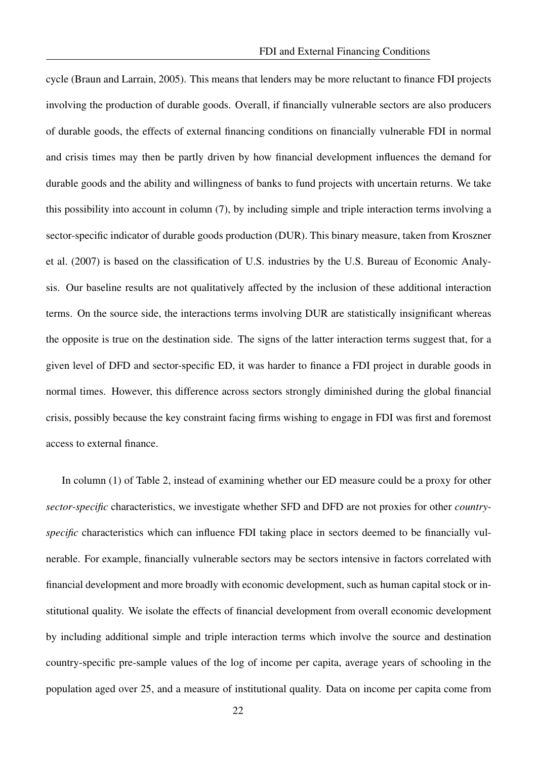cycle (Braun and Larrain, 2005). This means that lenders may be more reluctant to finance FDI projects involving the production of durable goods. Overall, if financially vulnerable sectors are also producers of durable goods, the effects of external financing conditions on financially vulnerable FDI in normal and crisis times may then be partly driven by how financial development influences the demand for durable goods and the ability and willingness of banks to fund projects with uncertain returns. We take this possibility into account in column (7), by including simple and triple interaction terms involving a sector-specific indicator of durable goods production (DUR). This binary measure, taken from Kroszner et al. (2007) is based on the classification of U.S. industries by the U.S. Bureau of Economic Analysis. Our baseline results are not qualitatively affected by the inclusion of these additional interaction terms. On the source side, the interactions terms involving DUR are statistically insignificant whereas the opposite is true on the destination side. The signs of the latter interaction terms suggest that, for a given level of DFD and sector-specific ED, it was harder to finance a FDI project in durable goods in normal times. However, this difference across sectors strongly diminished during the global financial crisis, possibly because the key constraint facing firms wishing to engage in FDI was first and foremost access to external finance.

In column (1) of Table 2, instead of examining whether our ED measure could be a proxy for other *sector-specific* characteristics, we investigate whether SFD and DFD are not proxies for other *countryspecific* characteristics which can influence FDI taking place in sectors deemed to be financially vulnerable. For example, financially vulnerable sectors may be sectors intensive in factors correlated with financial development and more broadly with economic development, such as human capital stock or institutional quality. We isolate the effects of financial development from overall economic development by including additional simple and triple interaction terms which involve the source and destination country-specific pre-sample values of the log of income per capita, average years of schooling in the population aged over 25, and a measure of institutional quality. Data on income per capita come from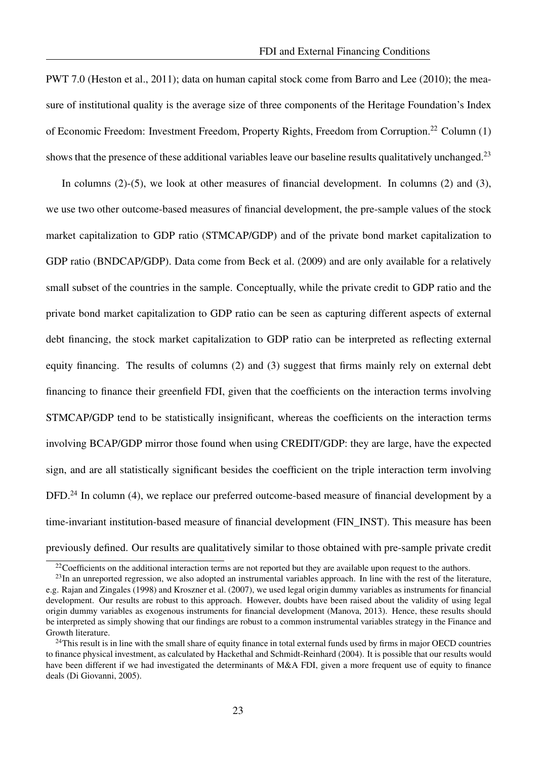PWT 7.0 (Heston et al., 2011); data on human capital stock come from Barro and Lee (2010); the measure of institutional quality is the average size of three components of the Heritage Foundation's Index of Economic Freedom: Investment Freedom, Property Rights, Freedom from Corruption.<sup>22</sup> Column (1) shows that the presence of these additional variables leave our baseline results qualitatively unchanged.<sup>23</sup>

In columns (2)-(5), we look at other measures of financial development. In columns (2) and (3), we use two other outcome-based measures of financial development, the pre-sample values of the stock market capitalization to GDP ratio (STMCAP/GDP) and of the private bond market capitalization to GDP ratio (BNDCAP/GDP). Data come from Beck et al. (2009) and are only available for a relatively small subset of the countries in the sample. Conceptually, while the private credit to GDP ratio and the private bond market capitalization to GDP ratio can be seen as capturing different aspects of external debt financing, the stock market capitalization to GDP ratio can be interpreted as reflecting external equity financing. The results of columns (2) and (3) suggest that firms mainly rely on external debt financing to finance their greenfield FDI, given that the coefficients on the interaction terms involving STMCAP/GDP tend to be statistically insignificant, whereas the coefficients on the interaction terms involving BCAP/GDP mirror those found when using CREDIT/GDP: they are large, have the expected sign, and are all statistically significant besides the coefficient on the triple interaction term involving DFD.<sup>24</sup> In column (4), we replace our preferred outcome-based measure of financial development by a time-invariant institution-based measure of financial development (FIN\_INST). This measure has been previously defined. Our results are qualitatively similar to those obtained with pre-sample private credit

 $22$ Coefficients on the additional interaction terms are not reported but they are available upon request to the authors.

 $^{23}$ In an unreported regression, we also adopted an instrumental variables approach. In line with the rest of the literature, e.g. Rajan and Zingales (1998) and Kroszner et al. (2007), we used legal origin dummy variables as instruments for financial development. Our results are robust to this approach. However, doubts have been raised about the validity of using legal origin dummy variables as exogenous instruments for financial development (Manova, 2013). Hence, these results should be interpreted as simply showing that our findings are robust to a common instrumental variables strategy in the Finance and Growth literature.

 $^{24}$ This result is in line with the small share of equity finance in total external funds used by firms in major OECD countries to finance physical investment, as calculated by Hackethal and Schmidt-Reinhard (2004). It is possible that our results would have been different if we had investigated the determinants of M&A FDI, given a more frequent use of equity to finance deals (Di Giovanni, 2005).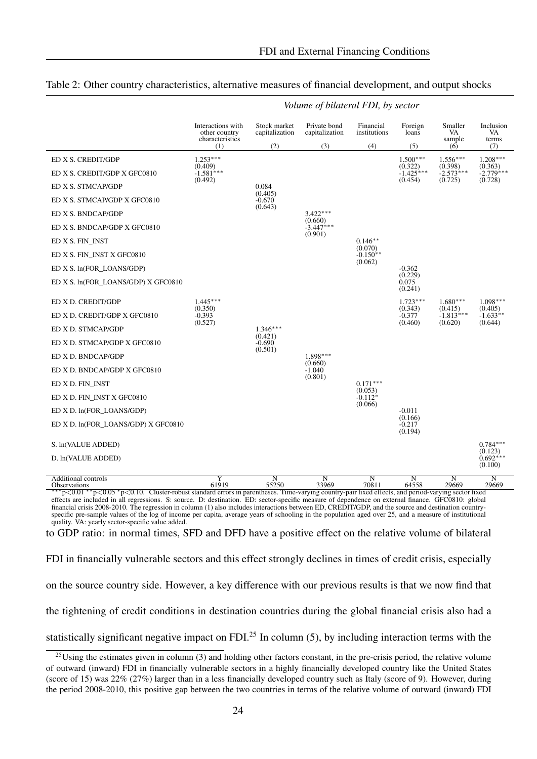|                                     | Volume of bilateral FDI, by sector                           |                                       |                                       |                                  |                         |                                |                                 |  |
|-------------------------------------|--------------------------------------------------------------|---------------------------------------|---------------------------------------|----------------------------------|-------------------------|--------------------------------|---------------------------------|--|
|                                     | Interactions with<br>other country<br>characteristics<br>(1) | Stock market<br>capitalization<br>(2) | Private bond<br>capitalization<br>(3) | Financial<br>institutions<br>(4) | Foreign<br>loans<br>(5) | Smaller<br>VA<br>sample<br>(6) | Inclusion<br>VA<br>terms<br>(7) |  |
| ED X S. CREDIT/GDP                  | $1.253***$                                                   |                                       |                                       |                                  | $1.500***$              | $1.556***$                     | $1.208***$                      |  |
| ED X S. CREDIT/GDP X GFC0810        | (0.409)<br>$-1.581***$                                       |                                       |                                       |                                  | (0.322)<br>$-1.425***$  | (0.398)<br>$-2.573***$         | (0.363)<br>$-2.779***$          |  |
| ED X S. STMCAP/GDP                  | (0.492)                                                      | 0.084                                 |                                       |                                  | (0.454)                 | (0.725)                        | (0.728)                         |  |
| ED X S. STMCAP/GDP X GFC0810        |                                                              | (0.405)<br>$-0.670$                   |                                       |                                  |                         |                                |                                 |  |
| ED X S. BNDCAP/GDP                  |                                                              | (0.643)                               | $3.422***$                            |                                  |                         |                                |                                 |  |
| ED X S. BNDCAP/GDP X GFC0810        |                                                              |                                       | (0.660)<br>$-3.447***$                |                                  |                         |                                |                                 |  |
| ED X S. FIN_INST                    |                                                              |                                       | (0.901)                               | $0.146**$                        |                         |                                |                                 |  |
| ED X S. FIN_INST X GFC0810          |                                                              |                                       |                                       | (0.070)<br>$-0.150**$            |                         |                                |                                 |  |
| ED X S. ln(FOR_LOANS/GDP)           |                                                              |                                       |                                       | (0.062)                          | $-0.362$<br>(0.229)     |                                |                                 |  |
| ED X S. In(FOR LOANS/GDP) X GFC0810 |                                                              |                                       |                                       |                                  | 0.075<br>(0.241)        |                                |                                 |  |
| ED X D. CREDIT/GDP                  | $1.445***$                                                   |                                       |                                       |                                  | $1.723***$              | $1.680***$                     | $1.098***$                      |  |
| ED X D. CREDIT/GDP X GFC0810        | (0.350)<br>$-0.393$                                          |                                       |                                       |                                  | (0.343)<br>$-0.377$     | (0.415)<br>$-1.813***$         | (0.405)<br>$-1.633**$           |  |
| ED X D. STMCAP/GDP                  | (0.527)                                                      | $1.346***$                            |                                       |                                  | (0.460)                 | (0.620)                        | (0.644)                         |  |
| ED X D. STMCAP/GDP X GFC0810        |                                                              | (0.421)<br>$-0.690$<br>(0.501)        |                                       |                                  |                         |                                |                                 |  |
| ED X D. BNDCAP/GDP                  |                                                              |                                       | $1.898***$<br>(0.660)                 |                                  |                         |                                |                                 |  |
| ED X D. BNDCAP/GDP X GFC0810        |                                                              |                                       | $-1.040$<br>(0.801)                   |                                  |                         |                                |                                 |  |
| ED X D. FIN_INST                    |                                                              |                                       |                                       | $0.171***$<br>(0.053)            |                         |                                |                                 |  |
| ED X D. FIN_INST X GFC0810          |                                                              |                                       |                                       | $-0.112*$<br>(0.066)             |                         |                                |                                 |  |
| ED X D. ln(FOR_LOANS/GDP)           |                                                              |                                       |                                       |                                  | $-0.011$<br>(0.166)     |                                |                                 |  |
| ED X D. ln(FOR_LOANS/GDP) X GFC0810 |                                                              |                                       |                                       |                                  | $-0.217$<br>(0.194)     |                                |                                 |  |
| S. ln(VALUE ADDED)                  |                                                              |                                       |                                       |                                  |                         |                                | $0.784***$<br>(0.123)           |  |
| D. ln(VALUE ADDED)                  |                                                              |                                       |                                       |                                  |                         |                                | $0.692***$<br>(0.100)           |  |
| Additional controls                 | Y                                                            | N                                     | N                                     | N                                | N                       | N                              | N                               |  |

#### Table 2: Other country characteristics, alternative measures of financial development, and output shocks

Observations 61919 55250 33969 70811 64558 29669 29669<br>\*\*\*p<0.01 \*\*p<0.05 \*p<0.10. Cluster-robust standard errors in parentheses. Time-varying country-pair fixed effects, and period-varying sector fixed effects are included in all regressions. S: source. D: destination. ED: sector-specific measure of dependence on external finance. GFC0810: global financial crisis 2008-2010. The regression in column (1) also includes interactions between ED, CREDIT/GDP, and the source and destination countryspecific pre-sample values of the log of income per capita, average years of schooling in the population aged over 25, and a measure of institutional quality. VA: yearly sector-specific value added.

to GDP ratio: in normal times, SFD and DFD have a positive effect on the relative volume of bilateral

FDI in financially vulnerable sectors and this effect strongly declines in times of credit crisis, especially

on the source country side. However, a key difference with our previous results is that we now find that

the tightening of credit conditions in destination countries during the global financial crisis also had a

statistically significant negative impact on FDI.<sup>25</sup> In column  $(5)$ , by including interaction terms with the

 $25$ Using the estimates given in column (3) and holding other factors constant, in the pre-crisis period, the relative volume of outward (inward) FDI in financially vulnerable sectors in a highly financially developed country like the United States (score of 15) was 22% (27%) larger than in a less financially developed country such as Italy (score of 9). However, during the period 2008-2010, this positive gap between the two countries in terms of the relative volume of outward (inward) FDI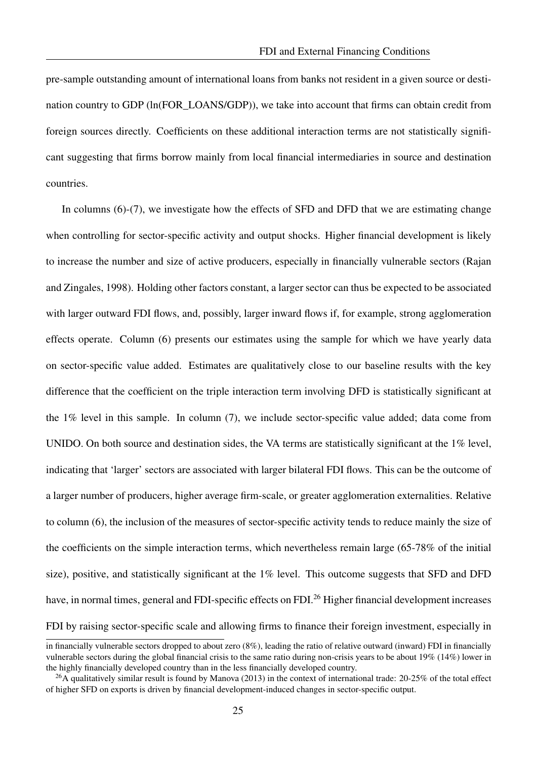pre-sample outstanding amount of international loans from banks not resident in a given source or destination country to GDP (ln(FOR\_LOANS/GDP)), we take into account that firms can obtain credit from foreign sources directly. Coefficients on these additional interaction terms are not statistically significant suggesting that firms borrow mainly from local financial intermediaries in source and destination countries.

In columns (6)-(7), we investigate how the effects of SFD and DFD that we are estimating change when controlling for sector-specific activity and output shocks. Higher financial development is likely to increase the number and size of active producers, especially in financially vulnerable sectors (Rajan and Zingales, 1998). Holding other factors constant, a larger sector can thus be expected to be associated with larger outward FDI flows, and, possibly, larger inward flows if, for example, strong agglomeration effects operate. Column (6) presents our estimates using the sample for which we have yearly data on sector-specific value added. Estimates are qualitatively close to our baseline results with the key difference that the coefficient on the triple interaction term involving DFD is statistically significant at the 1% level in this sample. In column (7), we include sector-specific value added; data come from UNIDO. On both source and destination sides, the VA terms are statistically significant at the 1% level, indicating that 'larger' sectors are associated with larger bilateral FDI flows. This can be the outcome of a larger number of producers, higher average firm-scale, or greater agglomeration externalities. Relative to column (6), the inclusion of the measures of sector-specific activity tends to reduce mainly the size of the coefficients on the simple interaction terms, which nevertheless remain large (65-78% of the initial size), positive, and statistically significant at the 1% level. This outcome suggests that SFD and DFD have, in normal times, general and FDI-specific effects on FDI.<sup>26</sup> Higher financial development increases FDI by raising sector-specific scale and allowing firms to finance their foreign investment, especially in

in financially vulnerable sectors dropped to about zero (8%), leading the ratio of relative outward (inward) FDI in financially vulnerable sectors during the global financial crisis to the same ratio during non-crisis years to be about 19% (14%) lower in the highly financially developed country than in the less financially developed country.

<sup>&</sup>lt;sup>26</sup>A qualitatively similar result is found by Manova (2013) in the context of international trade: 20-25% of the total effect of higher SFD on exports is driven by financial development-induced changes in sector-specific output.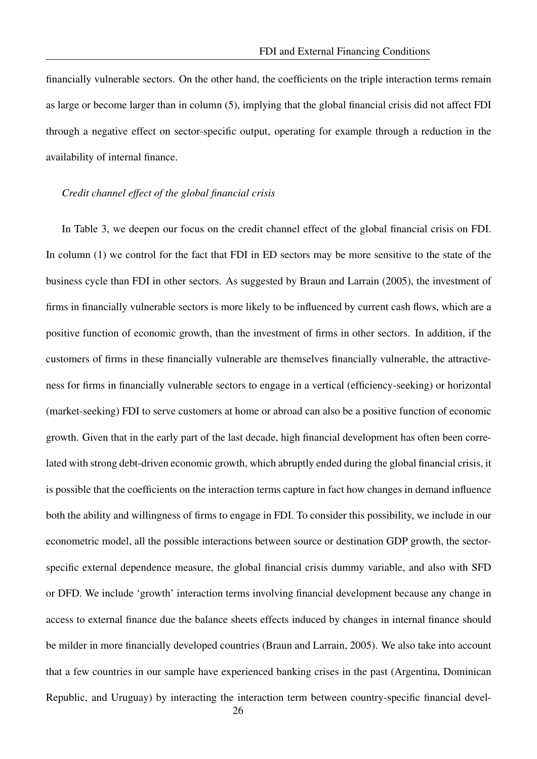financially vulnerable sectors. On the other hand, the coefficients on the triple interaction terms remain as large or become larger than in column (5), implying that the global financial crisis did not affect FDI through a negative effect on sector-specific output, operating for example through a reduction in the availability of internal finance.

#### *Credit channel effect of the global financial crisis*

In Table 3, we deepen our focus on the credit channel effect of the global financial crisis on FDI. In column (1) we control for the fact that FDI in ED sectors may be more sensitive to the state of the business cycle than FDI in other sectors. As suggested by Braun and Larrain (2005), the investment of firms in financially vulnerable sectors is more likely to be influenced by current cash flows, which are a positive function of economic growth, than the investment of firms in other sectors. In addition, if the customers of firms in these financially vulnerable are themselves financially vulnerable, the attractiveness for firms in financially vulnerable sectors to engage in a vertical (efficiency-seeking) or horizontal (market-seeking) FDI to serve customers at home or abroad can also be a positive function of economic growth. Given that in the early part of the last decade, high financial development has often been correlated with strong debt-driven economic growth, which abruptly ended during the global financial crisis, it is possible that the coefficients on the interaction terms capture in fact how changes in demand influence both the ability and willingness of firms to engage in FDI. To consider this possibility, we include in our econometric model, all the possible interactions between source or destination GDP growth, the sectorspecific external dependence measure, the global financial crisis dummy variable, and also with SFD or DFD. We include 'growth' interaction terms involving financial development because any change in access to external finance due the balance sheets effects induced by changes in internal finance should be milder in more financially developed countries (Braun and Larrain, 2005). We also take into account that a few countries in our sample have experienced banking crises in the past (Argentina, Dominican Republic, and Uruguay) by interacting the interaction term between country-specific financial devel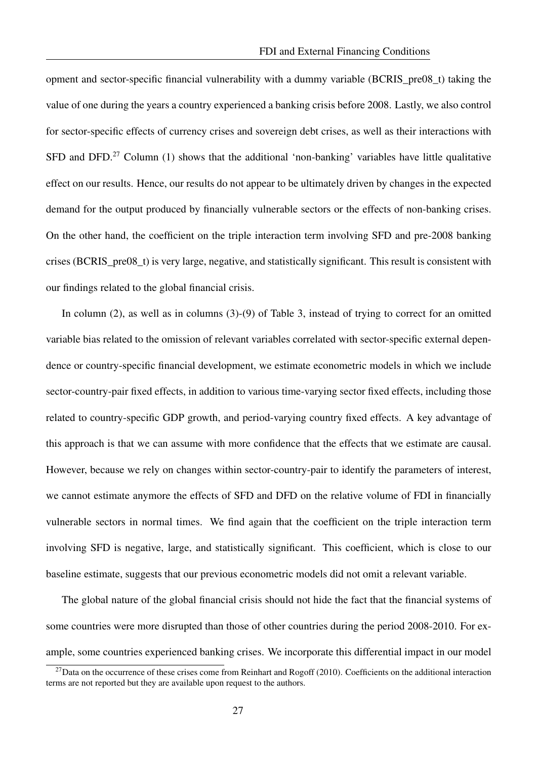opment and sector-specific financial vulnerability with a dummy variable (BCRIS\_pre08\_t) taking the value of one during the years a country experienced a banking crisis before 2008. Lastly, we also control for sector-specific effects of currency crises and sovereign debt crises, as well as their interactions with SFD and DFD.<sup>27</sup> Column (1) shows that the additional 'non-banking' variables have little qualitative effect on our results. Hence, our results do not appear to be ultimately driven by changes in the expected demand for the output produced by financially vulnerable sectors or the effects of non-banking crises. On the other hand, the coefficient on the triple interaction term involving SFD and pre-2008 banking crises (BCRIS\_pre08\_t) is very large, negative, and statistically significant. This result is consistent with our findings related to the global financial crisis.

In column (2), as well as in columns (3)-(9) of Table 3, instead of trying to correct for an omitted variable bias related to the omission of relevant variables correlated with sector-specific external dependence or country-specific financial development, we estimate econometric models in which we include sector-country-pair fixed effects, in addition to various time-varying sector fixed effects, including those related to country-specific GDP growth, and period-varying country fixed effects. A key advantage of this approach is that we can assume with more confidence that the effects that we estimate are causal. However, because we rely on changes within sector-country-pair to identify the parameters of interest, we cannot estimate anymore the effects of SFD and DFD on the relative volume of FDI in financially vulnerable sectors in normal times. We find again that the coefficient on the triple interaction term involving SFD is negative, large, and statistically significant. This coefficient, which is close to our baseline estimate, suggests that our previous econometric models did not omit a relevant variable.

The global nature of the global financial crisis should not hide the fact that the financial systems of some countries were more disrupted than those of other countries during the period 2008-2010. For example, some countries experienced banking crises. We incorporate this differential impact in our model

 $^{27}$ Data on the occurrence of these crises come from Reinhart and Rogoff (2010). Coefficients on the additional interaction terms are not reported but they are available upon request to the authors.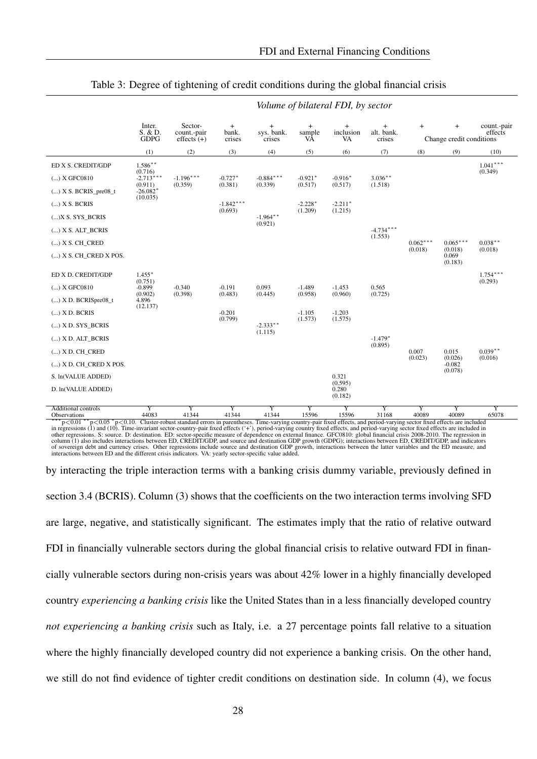*Volume of bilateral FDI, by sector*

| Inter.<br>Sector-<br>$+$<br>$+$<br>$+$<br>count.-pair<br>$+$<br>$+$<br>$+$<br>$+$<br>S. & D.<br>inclusion<br>sys. bank.<br>alt. bank.<br>bank.<br>sample<br>effects<br>count.-pair<br><b>GDPG</b><br>VÂ<br>crises<br>Change credit conditions<br>$effects (+)$<br>crises<br>crises<br>VA<br>(3)<br>(4)<br>(7)<br>(8)<br>(9)<br>(1)<br>(2)<br>(5)<br>(6)<br>(10)<br>$1.041***$<br>$1.586**$<br>ED X S. CREDIT/GDP<br>(0.349)<br>(0.716)<br>$-1.196***$<br>$-0.884***$<br>$3.036***$<br>$()$ X GFC0810<br>$-2.713***$<br>$-0.727*$<br>$-0.921*$<br>$-0.916*$<br>(0.339)<br>(0.911)<br>(0.359)<br>(0.381)<br>(0.517)<br>(0.517)<br>(1.518)<br>$()$ X S. BCRIS_pre08_t<br>$-26.082*$<br>(10.035)<br>$-1.842***$<br>$()$ X S. BCRIS<br>$-2.228*$<br>$-2.211*$<br>(0.693)<br>(1.209)<br>(1.215)<br>$-1.964**$<br>()X S. SYS BCRIS<br>(0.921)<br>$-4.734***$<br>$()$ X S. ALT BCRIS<br>(1.553)<br>$0.062***$<br>$0.065***$<br>$0.038**$<br>$()$ X S. CH_CRED<br>(0.018)<br>(0.018)<br>(0.018)<br>() X S. CH_CRED X POS.<br>0.069<br>(0.183)<br>$1.754***$<br>ED X D. CREDIT/GDP<br>$1.455*$<br>(0.293)<br>(0.751)<br>0.093<br>$()$ X GFC0810<br>$-0.899$<br>$-0.340$<br>$-0.191$<br>$-1.489$<br>$-1.453$<br>0.565<br>(0.725)<br>(0.902)<br>(0.398)<br>(0.483)<br>(0.445)<br>(0.958)<br>(0.960)<br>4.896<br>$()$ X D. BCRISpre08_t<br>(12.137)<br>$()$ X D. BCRIS<br>$-0.201$<br>$-1.105$<br>$-1.203$<br>(0.799)<br>(1.573)<br>(1.575)<br>$-2.333**$<br>$()$ X D. SYS_BCRIS<br>(1.115)<br>$-1.479*$<br>() X D. ALT_BCRIS<br>(0.895)<br>$0.039**$<br>$()$ X D. CH CRED<br>0.007<br>0.015<br>(0.023)<br>(0.026)<br>(0.016)<br>() X D. CH_CRED X POS.<br>$-0.082$<br>(0.078)<br>0.321<br>S. ln(VALUE ADDED)<br>(0.595)<br>D. ln(VALUE ADDED)<br>0.280<br>(0.182)<br><b>Additional controls</b><br>Y<br>Y<br>Y<br>Y<br>Y<br>Y<br>Y<br>Y<br>Y<br>Y |  |  |  |  |  |  |
|---------------------------------------------------------------------------------------------------------------------------------------------------------------------------------------------------------------------------------------------------------------------------------------------------------------------------------------------------------------------------------------------------------------------------------------------------------------------------------------------------------------------------------------------------------------------------------------------------------------------------------------------------------------------------------------------------------------------------------------------------------------------------------------------------------------------------------------------------------------------------------------------------------------------------------------------------------------------------------------------------------------------------------------------------------------------------------------------------------------------------------------------------------------------------------------------------------------------------------------------------------------------------------------------------------------------------------------------------------------------------------------------------------------------------------------------------------------------------------------------------------------------------------------------------------------------------------------------------------------------------------------------------------------------------------------------------------------------------------------------------------------------------------------------------------------------------------------|--|--|--|--|--|--|
|                                                                                                                                                                                                                                                                                                                                                                                                                                                                                                                                                                                                                                                                                                                                                                                                                                                                                                                                                                                                                                                                                                                                                                                                                                                                                                                                                                                                                                                                                                                                                                                                                                                                                                                                                                                                                                       |  |  |  |  |  |  |
|                                                                                                                                                                                                                                                                                                                                                                                                                                                                                                                                                                                                                                                                                                                                                                                                                                                                                                                                                                                                                                                                                                                                                                                                                                                                                                                                                                                                                                                                                                                                                                                                                                                                                                                                                                                                                                       |  |  |  |  |  |  |
|                                                                                                                                                                                                                                                                                                                                                                                                                                                                                                                                                                                                                                                                                                                                                                                                                                                                                                                                                                                                                                                                                                                                                                                                                                                                                                                                                                                                                                                                                                                                                                                                                                                                                                                                                                                                                                       |  |  |  |  |  |  |
|                                                                                                                                                                                                                                                                                                                                                                                                                                                                                                                                                                                                                                                                                                                                                                                                                                                                                                                                                                                                                                                                                                                                                                                                                                                                                                                                                                                                                                                                                                                                                                                                                                                                                                                                                                                                                                       |  |  |  |  |  |  |
|                                                                                                                                                                                                                                                                                                                                                                                                                                                                                                                                                                                                                                                                                                                                                                                                                                                                                                                                                                                                                                                                                                                                                                                                                                                                                                                                                                                                                                                                                                                                                                                                                                                                                                                                                                                                                                       |  |  |  |  |  |  |
|                                                                                                                                                                                                                                                                                                                                                                                                                                                                                                                                                                                                                                                                                                                                                                                                                                                                                                                                                                                                                                                                                                                                                                                                                                                                                                                                                                                                                                                                                                                                                                                                                                                                                                                                                                                                                                       |  |  |  |  |  |  |
|                                                                                                                                                                                                                                                                                                                                                                                                                                                                                                                                                                                                                                                                                                                                                                                                                                                                                                                                                                                                                                                                                                                                                                                                                                                                                                                                                                                                                                                                                                                                                                                                                                                                                                                                                                                                                                       |  |  |  |  |  |  |
|                                                                                                                                                                                                                                                                                                                                                                                                                                                                                                                                                                                                                                                                                                                                                                                                                                                                                                                                                                                                                                                                                                                                                                                                                                                                                                                                                                                                                                                                                                                                                                                                                                                                                                                                                                                                                                       |  |  |  |  |  |  |
|                                                                                                                                                                                                                                                                                                                                                                                                                                                                                                                                                                                                                                                                                                                                                                                                                                                                                                                                                                                                                                                                                                                                                                                                                                                                                                                                                                                                                                                                                                                                                                                                                                                                                                                                                                                                                                       |  |  |  |  |  |  |
|                                                                                                                                                                                                                                                                                                                                                                                                                                                                                                                                                                                                                                                                                                                                                                                                                                                                                                                                                                                                                                                                                                                                                                                                                                                                                                                                                                                                                                                                                                                                                                                                                                                                                                                                                                                                                                       |  |  |  |  |  |  |
|                                                                                                                                                                                                                                                                                                                                                                                                                                                                                                                                                                                                                                                                                                                                                                                                                                                                                                                                                                                                                                                                                                                                                                                                                                                                                                                                                                                                                                                                                                                                                                                                                                                                                                                                                                                                                                       |  |  |  |  |  |  |
|                                                                                                                                                                                                                                                                                                                                                                                                                                                                                                                                                                                                                                                                                                                                                                                                                                                                                                                                                                                                                                                                                                                                                                                                                                                                                                                                                                                                                                                                                                                                                                                                                                                                                                                                                                                                                                       |  |  |  |  |  |  |
|                                                                                                                                                                                                                                                                                                                                                                                                                                                                                                                                                                                                                                                                                                                                                                                                                                                                                                                                                                                                                                                                                                                                                                                                                                                                                                                                                                                                                                                                                                                                                                                                                                                                                                                                                                                                                                       |  |  |  |  |  |  |
|                                                                                                                                                                                                                                                                                                                                                                                                                                                                                                                                                                                                                                                                                                                                                                                                                                                                                                                                                                                                                                                                                                                                                                                                                                                                                                                                                                                                                                                                                                                                                                                                                                                                                                                                                                                                                                       |  |  |  |  |  |  |
|                                                                                                                                                                                                                                                                                                                                                                                                                                                                                                                                                                                                                                                                                                                                                                                                                                                                                                                                                                                                                                                                                                                                                                                                                                                                                                                                                                                                                                                                                                                                                                                                                                                                                                                                                                                                                                       |  |  |  |  |  |  |
|                                                                                                                                                                                                                                                                                                                                                                                                                                                                                                                                                                                                                                                                                                                                                                                                                                                                                                                                                                                                                                                                                                                                                                                                                                                                                                                                                                                                                                                                                                                                                                                                                                                                                                                                                                                                                                       |  |  |  |  |  |  |
|                                                                                                                                                                                                                                                                                                                                                                                                                                                                                                                                                                                                                                                                                                                                                                                                                                                                                                                                                                                                                                                                                                                                                                                                                                                                                                                                                                                                                                                                                                                                                                                                                                                                                                                                                                                                                                       |  |  |  |  |  |  |
|                                                                                                                                                                                                                                                                                                                                                                                                                                                                                                                                                                                                                                                                                                                                                                                                                                                                                                                                                                                                                                                                                                                                                                                                                                                                                                                                                                                                                                                                                                                                                                                                                                                                                                                                                                                                                                       |  |  |  |  |  |  |
|                                                                                                                                                                                                                                                                                                                                                                                                                                                                                                                                                                                                                                                                                                                                                                                                                                                                                                                                                                                                                                                                                                                                                                                                                                                                                                                                                                                                                                                                                                                                                                                                                                                                                                                                                                                                                                       |  |  |  |  |  |  |
|                                                                                                                                                                                                                                                                                                                                                                                                                                                                                                                                                                                                                                                                                                                                                                                                                                                                                                                                                                                                                                                                                                                                                                                                                                                                                                                                                                                                                                                                                                                                                                                                                                                                                                                                                                                                                                       |  |  |  |  |  |  |
|                                                                                                                                                                                                                                                                                                                                                                                                                                                                                                                                                                                                                                                                                                                                                                                                                                                                                                                                                                                                                                                                                                                                                                                                                                                                                                                                                                                                                                                                                                                                                                                                                                                                                                                                                                                                                                       |  |  |  |  |  |  |
|                                                                                                                                                                                                                                                                                                                                                                                                                                                                                                                                                                                                                                                                                                                                                                                                                                                                                                                                                                                                                                                                                                                                                                                                                                                                                                                                                                                                                                                                                                                                                                                                                                                                                                                                                                                                                                       |  |  |  |  |  |  |
| 44083<br>41344<br>41344<br>41344<br>15596<br>31168<br>65078<br>15596<br>40089<br>40089<br>Observations<br>$p \leq 0.01$ ** $p \leq 0.05$ * $p \leq 0.10$ . Cluster-robust standard errors in parentheses. Time-varying country-pair fixed effects, and period-varying sector fixed effects are included                                                                                                                                                                                                                                                                                                                                                                                                                                                                                                                                                                                                                                                                                                                                                                                                                                                                                                                                                                                                                                                                                                                                                                                                                                                                                                                                                                                                                                                                                                                               |  |  |  |  |  |  |

|  |  | Table 3: Degree of tightening of credit conditions during the global financial crisis |  |  |
|--|--|---------------------------------------------------------------------------------------|--|--|
|  |  |                                                                                       |  |  |

in regressions (1) and (10). Time-invariant sector-country-pair fixed effects ('+'), period-varying country fixed effects, and period-varying sector fixed effects are included in other regressions. S: source. D: destination. ED: sector-specific measure of dependence on external finance. GFC0810: global financial crisis 2008-2010. The regression in<br>column (1) also includes interactions between ED, C of sovereign debt and currency crises. Other regressions include source and destination GDP growth, interactions between the latter variables and the ED measure, and interactions between ED and the different crisis indicat

by interacting the triple interaction terms with a banking crisis dummy variable, previously defined in section 3.4 (BCRIS). Column (3) shows that the coefficients on the two interaction terms involving SFD are large, negative, and statistically significant. The estimates imply that the ratio of relative outward FDI in financially vulnerable sectors during the global financial crisis to relative outward FDI in financially vulnerable sectors during non-crisis years was about 42% lower in a highly financially developed country *experiencing a banking crisis* like the United States than in a less financially developed country *not experiencing a banking crisis* such as Italy, i.e. a 27 percentage points fall relative to a situation where the highly financially developed country did not experience a banking crisis. On the other hand, we still do not find evidence of tighter credit conditions on destination side. In column (4), we focus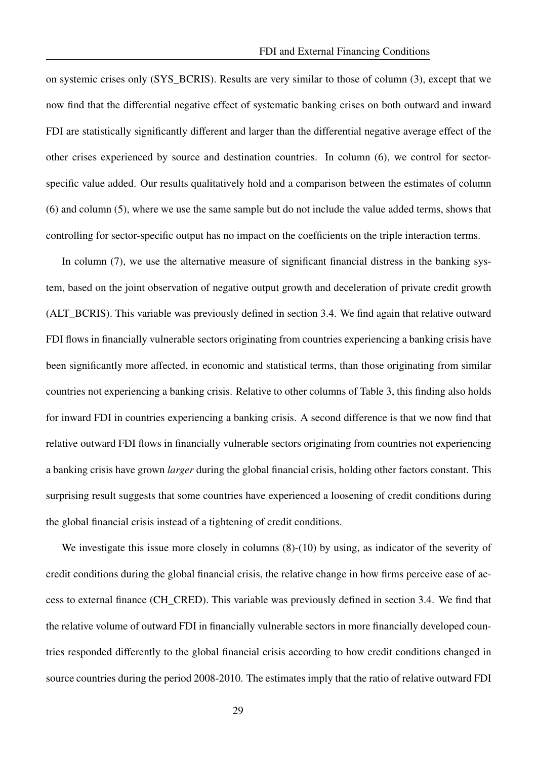on systemic crises only (SYS\_BCRIS). Results are very similar to those of column (3), except that we now find that the differential negative effect of systematic banking crises on both outward and inward FDI are statistically significantly different and larger than the differential negative average effect of the other crises experienced by source and destination countries. In column (6), we control for sectorspecific value added. Our results qualitatively hold and a comparison between the estimates of column (6) and column (5), where we use the same sample but do not include the value added terms, shows that controlling for sector-specific output has no impact on the coefficients on the triple interaction terms.

In column (7), we use the alternative measure of significant financial distress in the banking system, based on the joint observation of negative output growth and deceleration of private credit growth (ALT\_BCRIS). This variable was previously defined in section 3.4. We find again that relative outward FDI flows in financially vulnerable sectors originating from countries experiencing a banking crisis have been significantly more affected, in economic and statistical terms, than those originating from similar countries not experiencing a banking crisis. Relative to other columns of Table 3, this finding also holds for inward FDI in countries experiencing a banking crisis. A second difference is that we now find that relative outward FDI flows in financially vulnerable sectors originating from countries not experiencing a banking crisis have grown *larger* during the global financial crisis, holding other factors constant. This surprising result suggests that some countries have experienced a loosening of credit conditions during the global financial crisis instead of a tightening of credit conditions.

We investigate this issue more closely in columns  $(8)-(10)$  by using, as indicator of the severity of credit conditions during the global financial crisis, the relative change in how firms perceive ease of access to external finance (CH\_CRED). This variable was previously defined in section 3.4. We find that the relative volume of outward FDI in financially vulnerable sectors in more financially developed countries responded differently to the global financial crisis according to how credit conditions changed in source countries during the period 2008-2010. The estimates imply that the ratio of relative outward FDI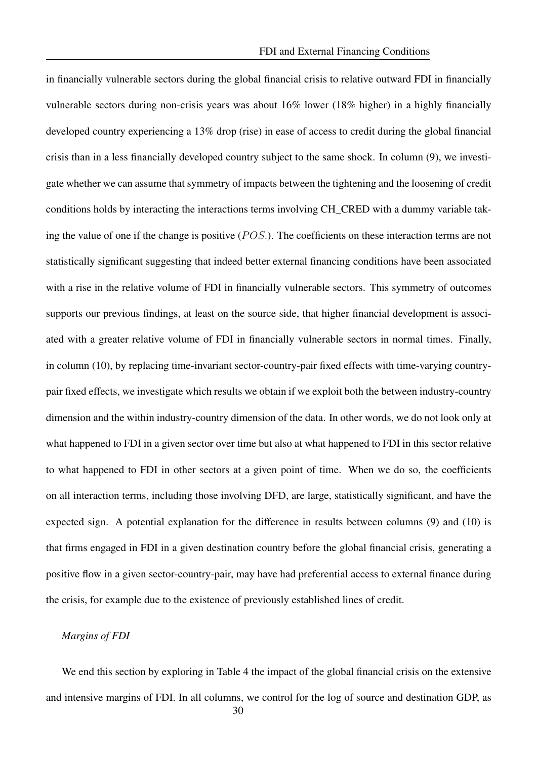in financially vulnerable sectors during the global financial crisis to relative outward FDI in financially vulnerable sectors during non-crisis years was about 16% lower (18% higher) in a highly financially developed country experiencing a 13% drop (rise) in ease of access to credit during the global financial crisis than in a less financially developed country subject to the same shock. In column (9), we investigate whether we can assume that symmetry of impacts between the tightening and the loosening of credit conditions holds by interacting the interactions terms involving CH\_CRED with a dummy variable taking the value of one if the change is positive (*P OS.*). The coefficients on these interaction terms are not statistically significant suggesting that indeed better external financing conditions have been associated with a rise in the relative volume of FDI in financially vulnerable sectors. This symmetry of outcomes supports our previous findings, at least on the source side, that higher financial development is associated with a greater relative volume of FDI in financially vulnerable sectors in normal times. Finally, in column (10), by replacing time-invariant sector-country-pair fixed effects with time-varying countrypair fixed effects, we investigate which results we obtain if we exploit both the between industry-country dimension and the within industry-country dimension of the data. In other words, we do not look only at what happened to FDI in a given sector over time but also at what happened to FDI in this sector relative to what happened to FDI in other sectors at a given point of time. When we do so, the coefficients on all interaction terms, including those involving DFD, are large, statistically significant, and have the expected sign. A potential explanation for the difference in results between columns (9) and (10) is that firms engaged in FDI in a given destination country before the global financial crisis, generating a positive flow in a given sector-country-pair, may have had preferential access to external finance during the crisis, for example due to the existence of previously established lines of credit.

#### *Margins of FDI*

We end this section by exploring in Table 4 the impact of the global financial crisis on the extensive and intensive margins of FDI. In all columns, we control for the log of source and destination GDP, as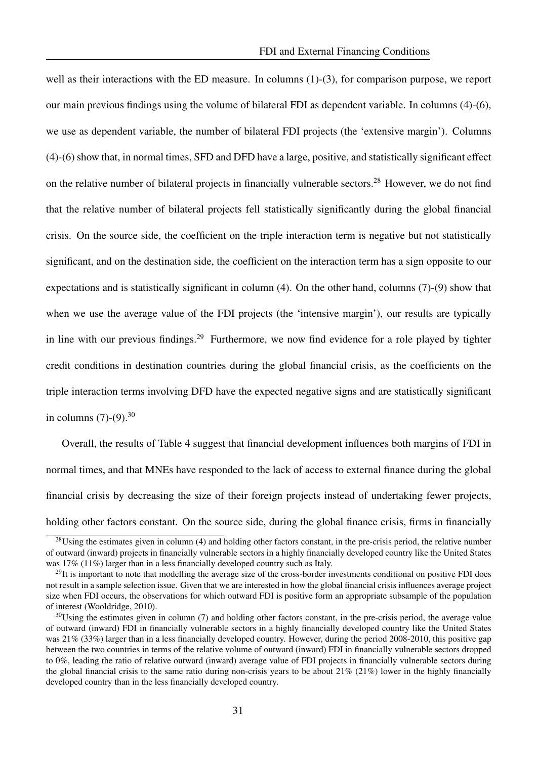well as their interactions with the ED measure. In columns  $(1)-(3)$ , for comparison purpose, we report our main previous findings using the volume of bilateral FDI as dependent variable. In columns (4)-(6), we use as dependent variable, the number of bilateral FDI projects (the 'extensive margin'). Columns (4)-(6) show that, in normal times, SFD and DFD have a large, positive, and statistically significant effect on the relative number of bilateral projects in financially vulnerable sectors.<sup>28</sup> However, we do not find that the relative number of bilateral projects fell statistically significantly during the global financial crisis. On the source side, the coefficient on the triple interaction term is negative but not statistically significant, and on the destination side, the coefficient on the interaction term has a sign opposite to our expectations and is statistically significant in column (4). On the other hand, columns (7)-(9) show that when we use the average value of the FDI projects (the 'intensive margin'), our results are typically in line with our previous findings.<sup>29</sup> Furthermore, we now find evidence for a role played by tighter credit conditions in destination countries during the global financial crisis, as the coefficients on the triple interaction terms involving DFD have the expected negative signs and are statistically significant in columns  $(7)-(9)^{30}$ 

Overall, the results of Table 4 suggest that financial development influences both margins of FDI in normal times, and that MNEs have responded to the lack of access to external finance during the global financial crisis by decreasing the size of their foreign projects instead of undertaking fewer projects, holding other factors constant. On the source side, during the global finance crisis, firms in financially

 $^{28}$ Using the estimates given in column (4) and holding other factors constant, in the pre-crisis period, the relative number of outward (inward) projects in financially vulnerable sectors in a highly financially developed country like the United States was 17% (11%) larger than in a less financially developed country such as Italy.

 $^{29}$ It is important to note that modelling the average size of the cross-border investments conditional on positive FDI does not result in a sample selection issue. Given that we are interested in how the global financial crisis influences average project size when FDI occurs, the observations for which outward FDI is positive form an appropriate subsample of the population of interest (Wooldridge, 2010).

 $30$ Using the estimates given in column (7) and holding other factors constant, in the pre-crisis period, the average value of outward (inward) FDI in financially vulnerable sectors in a highly financially developed country like the United States was 21% (33%) larger than in a less financially developed country. However, during the period 2008-2010, this positive gap between the two countries in terms of the relative volume of outward (inward) FDI in financially vulnerable sectors dropped to 0%, leading the ratio of relative outward (inward) average value of FDI projects in financially vulnerable sectors during the global financial crisis to the same ratio during non-crisis years to be about  $21\%$  ( $21\%$ ) lower in the highly financially developed country than in the less financially developed country.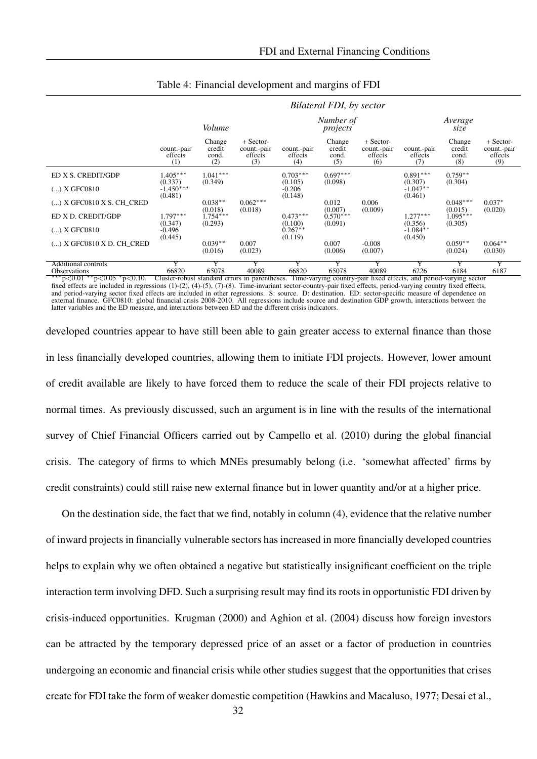|                                            | Bilateral FDI, by sector          |                                  |                                              |                                |                                  |                                              |                               |                                  |                                            |
|--------------------------------------------|-----------------------------------|----------------------------------|----------------------------------------------|--------------------------------|----------------------------------|----------------------------------------------|-------------------------------|----------------------------------|--------------------------------------------|
|                                            |                                   | Volume                           |                                              | Number of<br>projects          |                                  |                                              | Average<br>size               |                                  |                                            |
|                                            | count.-pair<br>effects<br>(1)     | Change<br>credit<br>cond.<br>(2) | $+$ Sector-<br>count.-pair<br>effects<br>(3) | count.-pair<br>effects<br>(4)  | Change<br>credit<br>cond.<br>(5) | $+$ Sector-<br>count.-pair<br>effects<br>(6) | count.-pair<br>effects<br>(7) | Change<br>credit<br>cond.<br>(8) | + Sector-<br>count.-pair<br>effects<br>(9) |
| ED X S. CREDIT/GDP                         | $1.405***$                        | $1.041***$                       |                                              | $0.703***$                     | $0.697***$<br>(0.098)            |                                              | $0.891***$<br>(0.307)         | $0.759**$<br>(0.304)             |                                            |
| $()$ X GFC0810                             | (0.337)<br>$-1.450***$<br>(0.481) | (0.349)                          |                                              | (0.105)<br>$-0.206$<br>(0.148) |                                  |                                              | $-1.047**$<br>(0.461)         |                                  |                                            |
| $()$ X GFC0810 X S. CH CRED                |                                   | $0.038**$<br>(0.018)             | $0.062***$<br>(0.018)                        |                                | 0.012<br>(0.007)                 | 0.006<br>(0.009)                             |                               | $0.048***$<br>(0.015)            | $0.037*$<br>(0.020)                        |
| ED X D. CREDIT/GDP                         | $1.797***$<br>(0.347)             | $1.754***$<br>(0.293)            |                                              | $0.473***$<br>(0.100)          | $0.570***$<br>(0.091)            |                                              | $1.277***$<br>(0.356)         | $1.095***$<br>(0.305)            |                                            |
| $()$ X GFC0810                             | $-0.496$<br>(0.445)               |                                  |                                              | $0.267**$<br>(0.119)           |                                  |                                              | $-1.084**$<br>(0.450)         |                                  |                                            |
| $()$ X GFC0810 X D. CH CRED                |                                   | $0.039**$<br>(0.016)             | 0.007<br>(0.023)                             |                                | 0.007<br>(0.006)                 | $-0.008$<br>(0.007)                          |                               | $0.059**$<br>(0.024)             | $0.064**$<br>(0.030)                       |
| Additional controls<br><b>Observations</b> | 66820                             | 65078                            | 40089                                        | 66820                          | 65078                            | 40089                                        | 6226                          | 6184                             | 6187                                       |

#### Table 4: Financial development and margins of FDI

*∗∗∗*p*<*0.01 *∗∗*p*<*0.05 *∗*p*<*0.10. Cluster-robust standard errors in parentheses. Time-varying country-pair fixed effects, and period-varying sector fixed effects are included in regressions (1)-(2), (4)-(5), (7)-(8). Time-invariant sector-country-pair fixed effects, period-varying country fixed effects, and period-varying sector fixed effects are included in other regressions. S: source. D: destination. ED: sector-specific measure of dependence on external finance. GFC0810: global financial crisis 2008-2010. All regressions include source and destination GDP growth, interactions between the latter variables and the ED measure, and interactions between ED and the different crisis indicators.

developed countries appear to have still been able to gain greater access to external finance than those in less financially developed countries, allowing them to initiate FDI projects. However, lower amount of credit available are likely to have forced them to reduce the scale of their FDI projects relative to normal times. As previously discussed, such an argument is in line with the results of the international survey of Chief Financial Officers carried out by Campello et al. (2010) during the global financial crisis. The category of firms to which MNEs presumably belong (i.e. 'somewhat affected' firms by credit constraints) could still raise new external finance but in lower quantity and/or at a higher price.

On the destination side, the fact that we find, notably in column (4), evidence that the relative number of inward projects in financially vulnerable sectors has increased in more financially developed countries helps to explain why we often obtained a negative but statistically insignificant coefficient on the triple interaction term involving DFD. Such a surprising result may find its roots in opportunistic FDI driven by crisis-induced opportunities. Krugman (2000) and Aghion et al. (2004) discuss how foreign investors can be attracted by the temporary depressed price of an asset or a factor of production in countries undergoing an economic and financial crisis while other studies suggest that the opportunities that crises create for FDI take the form of weaker domestic competition (Hawkins and Macaluso, 1977; Desai et al.,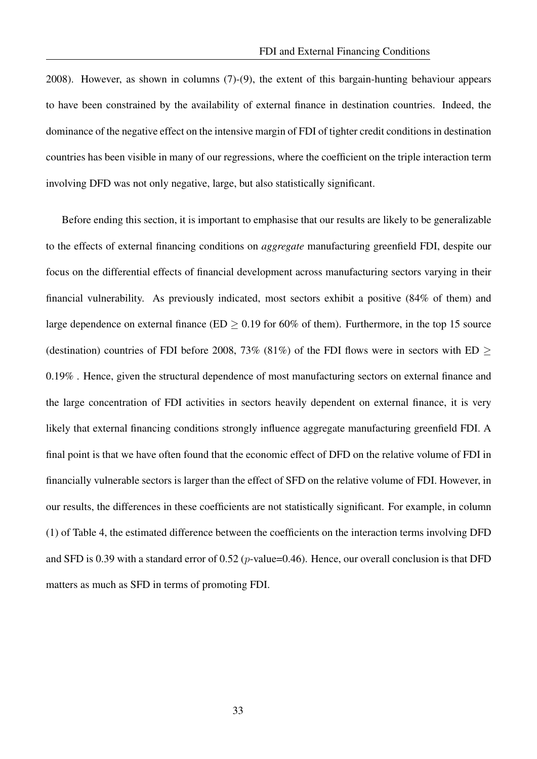2008). However, as shown in columns (7)-(9), the extent of this bargain-hunting behaviour appears to have been constrained by the availability of external finance in destination countries. Indeed, the dominance of the negative effect on the intensive margin of FDI of tighter credit conditions in destination countries has been visible in many of our regressions, where the coefficient on the triple interaction term involving DFD was not only negative, large, but also statistically significant.

Before ending this section, it is important to emphasise that our results are likely to be generalizable to the effects of external financing conditions on *aggregate* manufacturing greenfield FDI, despite our focus on the differential effects of financial development across manufacturing sectors varying in their financial vulnerability. As previously indicated, most sectors exhibit a positive (84% of them) and large dependence on external finance (ED *≥* 0.19 for 60% of them). Furthermore, in the top 15 source (destination) countries of FDI before 2008, 73% (81%) of the FDI flows were in sectors with ED *≥* 0.19% . Hence, given the structural dependence of most manufacturing sectors on external finance and the large concentration of FDI activities in sectors heavily dependent on external finance, it is very likely that external financing conditions strongly influence aggregate manufacturing greenfield FDI. A final point is that we have often found that the economic effect of DFD on the relative volume of FDI in financially vulnerable sectors is larger than the effect of SFD on the relative volume of FDI. However, in our results, the differences in these coefficients are not statistically significant. For example, in column (1) of Table 4, the estimated difference between the coefficients on the interaction terms involving DFD and SFD is 0.39 with a standard error of 0.52 (*p*-value=0.46). Hence, our overall conclusion is that DFD matters as much as SFD in terms of promoting FDI.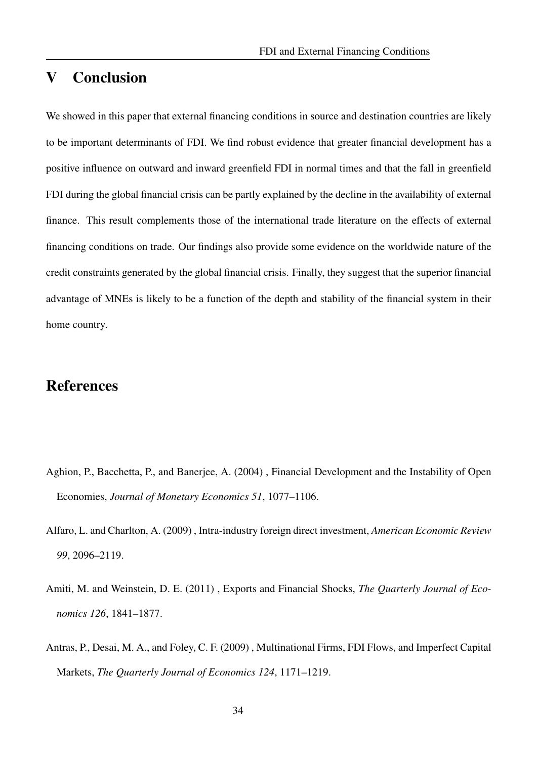## V Conclusion

We showed in this paper that external financing conditions in source and destination countries are likely to be important determinants of FDI. We find robust evidence that greater financial development has a positive influence on outward and inward greenfield FDI in normal times and that the fall in greenfield FDI during the global financial crisis can be partly explained by the decline in the availability of external finance. This result complements those of the international trade literature on the effects of external financing conditions on trade. Our findings also provide some evidence on the worldwide nature of the credit constraints generated by the global financial crisis. Finally, they suggest that the superior financial advantage of MNEs is likely to be a function of the depth and stability of the financial system in their home country.

## References

- Aghion, P., Bacchetta, P., and Banerjee, A. (2004) , Financial Development and the Instability of Open Economies, *Journal of Monetary Economics 51*, 1077–1106.
- Alfaro, L. and Charlton, A. (2009) , Intra-industry foreign direct investment, *American Economic Review 99*, 2096–2119.
- Amiti, M. and Weinstein, D. E. (2011) , Exports and Financial Shocks, *The Quarterly Journal of Economics 126*, 1841–1877.
- Antras, P., Desai, M. A., and Foley, C. F. (2009) , Multinational Firms, FDI Flows, and Imperfect Capital Markets, *The Quarterly Journal of Economics 124*, 1171–1219.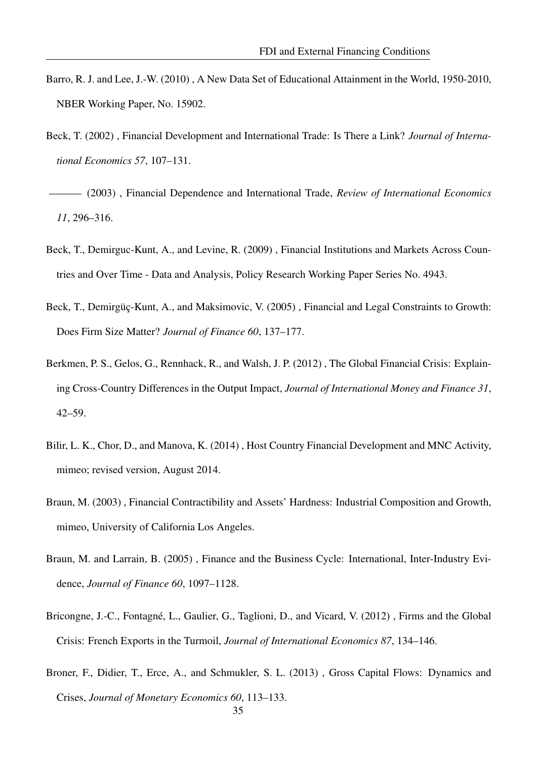- Barro, R. J. and Lee, J.-W. (2010) , A New Data Set of Educational Attainment in the World, 1950-2010, NBER Working Paper, No. 15902.
- Beck, T. (2002) , Financial Development and International Trade: Is There a Link? *Journal of International Economics 57*, 107–131.
- (2003) , Financial Dependence and International Trade, *Review of International Economics 11*, 296–316.
- Beck, T., Demirguc-Kunt, A., and Levine, R. (2009) , Financial Institutions and Markets Across Countries and Over Time - Data and Analysis, Policy Research Working Paper Series No. 4943.
- Beck, T., Demirgüç-Kunt, A., and Maksimovic, V. (2005) , Financial and Legal Constraints to Growth: Does Firm Size Matter? *Journal of Finance 60*, 137–177.
- Berkmen, P. S., Gelos, G., Rennhack, R., and Walsh, J. P. (2012) , The Global Financial Crisis: Explaining Cross-Country Differences in the Output Impact, *Journal of International Money and Finance 31*, 42–59.
- Bilir, L. K., Chor, D., and Manova, K. (2014) , Host Country Financial Development and MNC Activity, mimeo; revised version, August 2014.
- Braun, M. (2003) , Financial Contractibility and Assets' Hardness: Industrial Composition and Growth, mimeo, University of California Los Angeles.
- Braun, M. and Larrain, B. (2005) , Finance and the Business Cycle: International, Inter-Industry Evidence, *Journal of Finance 60*, 1097–1128.
- Bricongne, J.-C., Fontagné, L., Gaulier, G., Taglioni, D., and Vicard, V. (2012) , Firms and the Global Crisis: French Exports in the Turmoil, *Journal of International Economics 87*, 134–146.
- Broner, F., Didier, T., Erce, A., and Schmukler, S. L. (2013) , Gross Capital Flows: Dynamics and Crises, *Journal of Monetary Economics 60*, 113–133. 35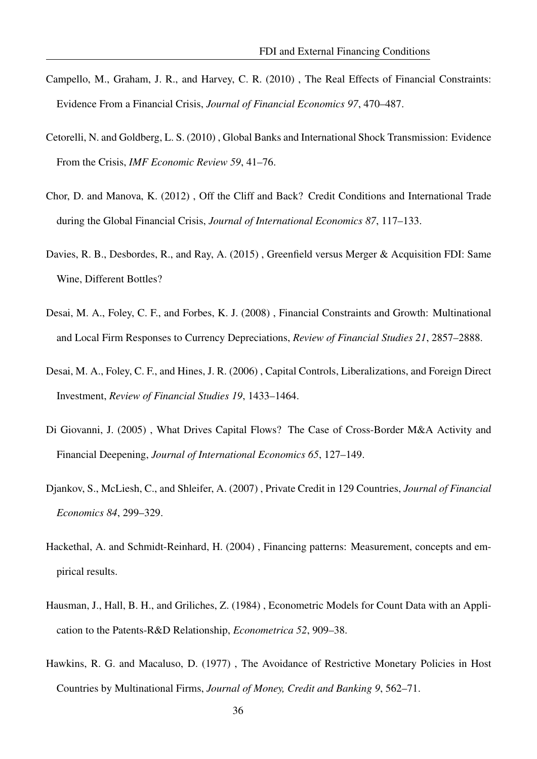- Campello, M., Graham, J. R., and Harvey, C. R. (2010) , The Real Effects of Financial Constraints: Evidence From a Financial Crisis, *Journal of Financial Economics 97*, 470–487.
- Cetorelli, N. and Goldberg, L. S. (2010) , Global Banks and International Shock Transmission: Evidence From the Crisis, *IMF Economic Review 59*, 41–76.
- Chor, D. and Manova, K. (2012) , Off the Cliff and Back? Credit Conditions and International Trade during the Global Financial Crisis, *Journal of International Economics 87*, 117–133.
- Davies, R. B., Desbordes, R., and Ray, A. (2015) , Greenfield versus Merger & Acquisition FDI: Same Wine, Different Bottles?
- Desai, M. A., Foley, C. F., and Forbes, K. J. (2008) , Financial Constraints and Growth: Multinational and Local Firm Responses to Currency Depreciations, *Review of Financial Studies 21*, 2857–2888.
- Desai, M. A., Foley, C. F., and Hines, J. R. (2006) , Capital Controls, Liberalizations, and Foreign Direct Investment, *Review of Financial Studies 19*, 1433–1464.
- Di Giovanni, J. (2005) , What Drives Capital Flows? The Case of Cross-Border M&A Activity and Financial Deepening, *Journal of International Economics 65*, 127–149.
- Djankov, S., McLiesh, C., and Shleifer, A. (2007) , Private Credit in 129 Countries, *Journal of Financial Economics 84*, 299–329.
- Hackethal, A. and Schmidt-Reinhard, H. (2004) , Financing patterns: Measurement, concepts and empirical results.
- Hausman, J., Hall, B. H., and Griliches, Z. (1984) , Econometric Models for Count Data with an Application to the Patents-R&D Relationship, *Econometrica 52*, 909–38.
- Hawkins, R. G. and Macaluso, D. (1977) , The Avoidance of Restrictive Monetary Policies in Host Countries by Multinational Firms, *Journal of Money, Credit and Banking 9*, 562–71.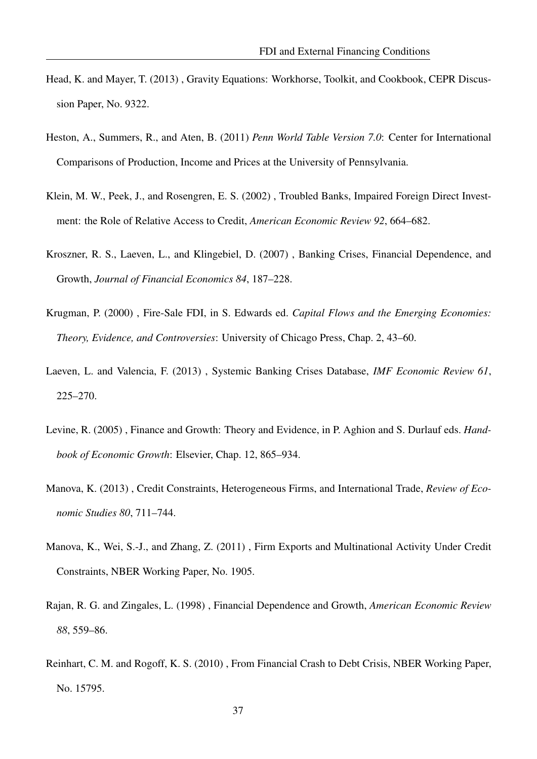- Head, K. and Mayer, T. (2013) , Gravity Equations: Workhorse, Toolkit, and Cookbook, CEPR Discussion Paper, No. 9322.
- Heston, A., Summers, R., and Aten, B. (2011) *Penn World Table Version 7.0*: Center for International Comparisons of Production, Income and Prices at the University of Pennsylvania.
- Klein, M. W., Peek, J., and Rosengren, E. S. (2002) , Troubled Banks, Impaired Foreign Direct Investment: the Role of Relative Access to Credit, *American Economic Review 92*, 664–682.
- Kroszner, R. S., Laeven, L., and Klingebiel, D. (2007) , Banking Crises, Financial Dependence, and Growth, *Journal of Financial Economics 84*, 187–228.
- Krugman, P. (2000) , Fire-Sale FDI, in S. Edwards ed. *Capital Flows and the Emerging Economies: Theory, Evidence, and Controversies*: University of Chicago Press, Chap. 2, 43–60.
- Laeven, L. and Valencia, F. (2013) , Systemic Banking Crises Database, *IMF Economic Review 61*, 225–270.
- Levine, R. (2005) , Finance and Growth: Theory and Evidence, in P. Aghion and S. Durlauf eds. *Handbook of Economic Growth*: Elsevier, Chap. 12, 865–934.
- Manova, K. (2013) , Credit Constraints, Heterogeneous Firms, and International Trade, *Review of Economic Studies 80*, 711–744.
- Manova, K., Wei, S.-J., and Zhang, Z. (2011) , Firm Exports and Multinational Activity Under Credit Constraints, NBER Working Paper, No. 1905.
- Rajan, R. G. and Zingales, L. (1998) , Financial Dependence and Growth, *American Economic Review 88*, 559–86.
- Reinhart, C. M. and Rogoff, K. S. (2010) , From Financial Crash to Debt Crisis, NBER Working Paper, No. 15795.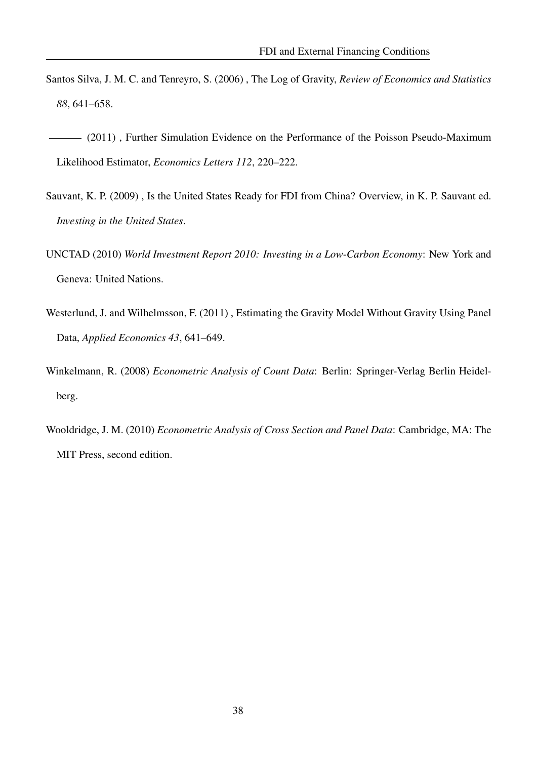- Santos Silva, J. M. C. and Tenreyro, S. (2006) , The Log of Gravity, *Review of Economics and Statistics 88*, 641–658.
- (2011), Further Simulation Evidence on the Performance of the Poisson Pseudo-Maximum Likelihood Estimator, *Economics Letters 112*, 220–222.
- Sauvant, K. P. (2009) , Is the United States Ready for FDI from China? Overview, in K. P. Sauvant ed. *Investing in the United States*.
- UNCTAD (2010) *World Investment Report 2010: Investing in a Low-Carbon Economy*: New York and Geneva: United Nations.
- Westerlund, J. and Wilhelmsson, F. (2011) , Estimating the Gravity Model Without Gravity Using Panel Data, *Applied Economics 43*, 641–649.
- Winkelmann, R. (2008) *Econometric Analysis of Count Data*: Berlin: Springer-Verlag Berlin Heidelberg.
- Wooldridge, J. M. (2010) *Econometric Analysis of Cross Section and Panel Data*: Cambridge, MA: The MIT Press, second edition.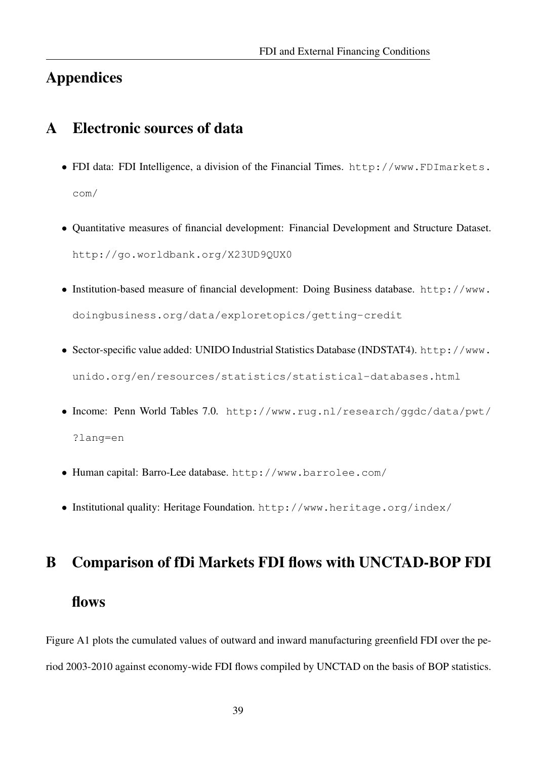## Appendices

## A Electronic sources of data

- FDI data: FDI Intelligence, a division of the Financial Times. http://www.FDImarkets. com/
- *•* Quantitative measures of financial development: Financial Development and Structure Dataset. http://go.worldbank.org/X23UD9QUX0
- Institution-based measure of financial development: Doing Business database. http://www. doingbusiness.org/data/exploretopics/getting-credit
- Sector-specific value added: UNIDO Industrial Statistics Database (INDSTAT4). http://www. unido.org/en/resources/statistics/statistical-databases.html
- *•* Income: Penn World Tables 7.0. http://www.rug.nl/research/ggdc/data/pwt/ ?lang=en
- *•* Human capital: Barro-Lee database. http://www.barrolee.com/
- *•* Institutional quality: Heritage Foundation. http://www.heritage.org/index/

# B Comparison of fDi Markets FDI flows with UNCTAD-BOP FDI flows

Figure A1 plots the cumulated values of outward and inward manufacturing greenfield FDI over the period 2003-2010 against economy-wide FDI flows compiled by UNCTAD on the basis of BOP statistics.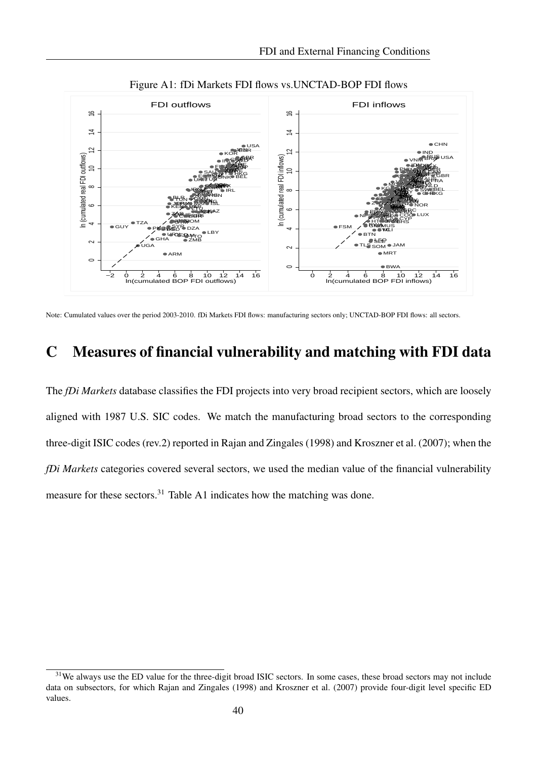

Figure A1: fDi Markets FDI flows vs.UNCTAD-BOP FDI flows

Note: Cumulated values over the period 2003-2010. fDi Markets FDI flows: manufacturing sectors only; UNCTAD-BOP FDI flows: all sectors.

## C Measures of financial vulnerability and matching with FDI data

The *fDi Markets* database classifies the FDI projects into very broad recipient sectors, which are loosely aligned with 1987 U.S. SIC codes. We match the manufacturing broad sectors to the corresponding three-digit ISIC codes (rev.2) reported in Rajan and Zingales (1998) and Kroszner et al. (2007); when the *fDi Markets* categories covered several sectors, we used the median value of the financial vulnerability measure for these sectors.<sup>31</sup> Table A1 indicates how the matching was done.

<sup>&</sup>lt;sup>31</sup>We always use the ED value for the three-digit broad ISIC sectors. In some cases, these broad sectors may not include data on subsectors, for which Rajan and Zingales (1998) and Kroszner et al. (2007) provide four-digit level specific ED values.